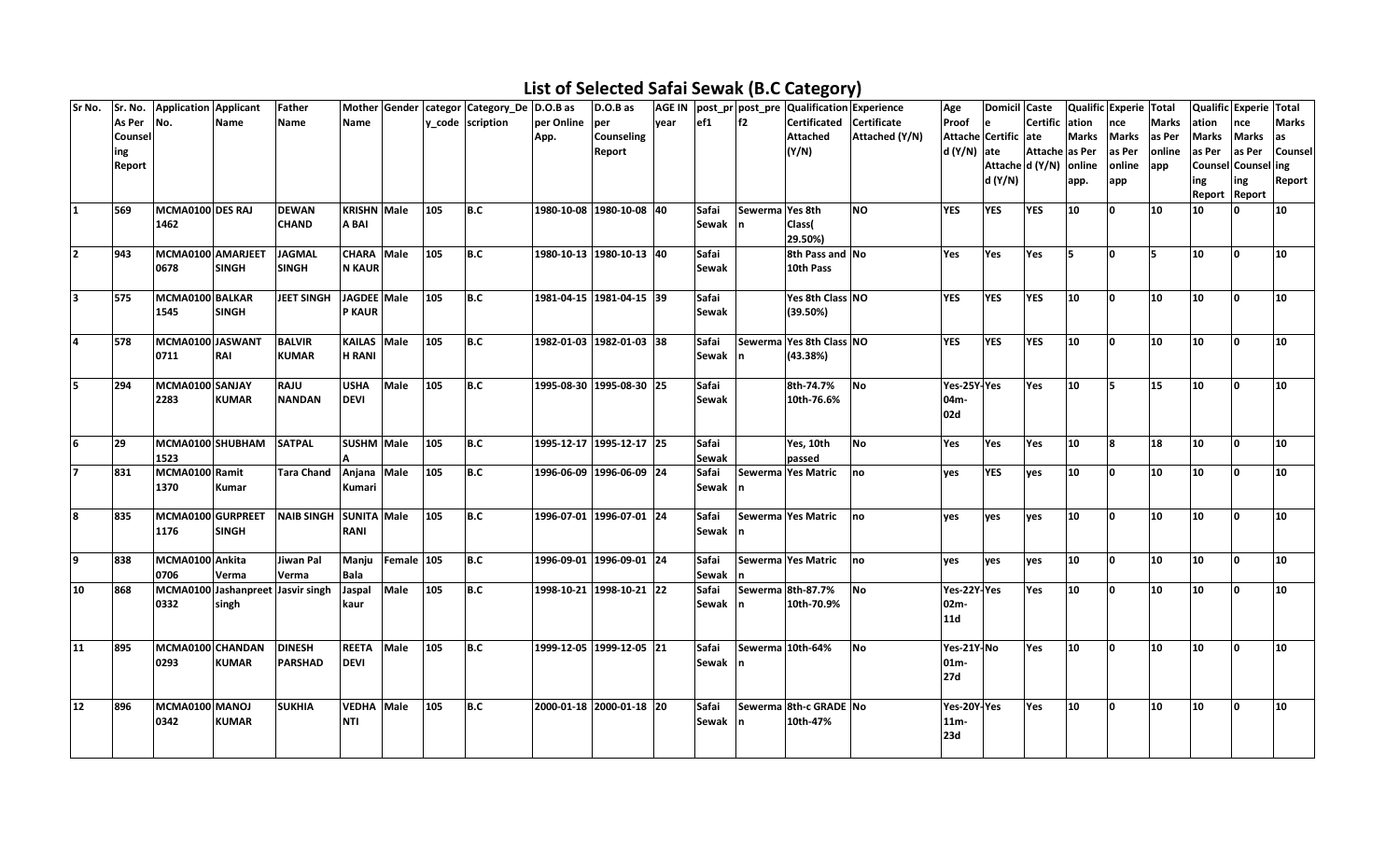## **List of Selected Safai Sewak (B.C Category)**

| Sr No.       | Sr. No.    | Application Applicant |              | Father                            |                    |            |     | Mother Gender   categor   Category_De   D.O.B as |                          | D.O.B as          | <b>AGE IN</b> |              |                 | post pr post pre Qualification Experience |                | Age          | Domicil Caste          |                |              | Qualific Experie Total |              | Qualific Experie Total |              |              |
|--------------|------------|-----------------------|--------------|-----------------------------------|--------------------|------------|-----|--------------------------------------------------|--------------------------|-------------------|---------------|--------------|-----------------|-------------------------------------------|----------------|--------------|------------------------|----------------|--------------|------------------------|--------------|------------------------|--------------|--------------|
|              | As Per No. |                       | Name         | Name                              | Name               |            |     | y_code scription                                 | per Online               | per               | year          | ef1          | f2              | Certificated Certificate                  |                | Proof        | le                     | Certific ation |              | nce                    | <b>Marks</b> | ation                  | nce          | <b>Marks</b> |
|              | Counsel    |                       |              |                                   |                    |            |     |                                                  | App.                     | <b>Counseling</b> |               |              |                 | <b>Attached</b>                           | Attached (Y/N) |              | Attache Certific ate   |                | <b>Marks</b> | <b>Marks</b>           | las Per      | <b>Marks</b>           | <b>Marks</b> | as           |
|              | ing        |                       |              |                                   |                    |            |     |                                                  |                          | Report            |               |              |                 | (Y/N)                                     |                | $d(Y/N)$ ate |                        | Attache as Per |              | as Per                 | online       | as Per                 | as Per       | Counsel      |
|              | Report     |                       |              |                                   |                    |            |     |                                                  |                          |                   |               |              |                 |                                           |                |              | Attache d (Y/N) online |                |              | online                 | app          | Counsel Counsel ing    |              |              |
|              |            |                       |              |                                   |                    |            |     |                                                  |                          |                   |               |              |                 |                                           |                |              | d (Y/N)                |                | app.         | app                    |              | ing                    | ing          | Report       |
|              |            |                       |              |                                   |                    |            |     |                                                  |                          |                   |               |              |                 |                                           |                |              |                        |                |              |                        |              | Report Report          |              |              |
| $\mathbf{1}$ | 569        | MCMA0100 DES RAJ      |              | <b>DEWAN</b>                      | <b>KRISHN</b> Male |            | 105 | B.C                                              | 1980-10-08 1980-10-08 40 |                   |               | Safai        | Sewerma Yes 8th |                                           | <b>NO</b>      | <b>YES</b>   | <b>YES</b>             | <b>YES</b>     | 10           | ١o                     | 10           | 10                     |              | 10           |
|              |            | 1462                  |              | <b>CHAND</b>                      | A BAI              |            |     |                                                  |                          |                   |               | Sewak n      |                 | Class(                                    |                |              |                        |                |              |                        |              |                        |              |              |
|              |            |                       |              |                                   |                    |            |     |                                                  |                          |                   |               |              |                 | 29.50%)                                   |                |              |                        |                |              |                        |              |                        |              |              |
| 2            | 943        | MCMA0100 AMARJEET     |              | <b>JAGMAL</b>                     | <b>CHARA</b> Male  |            | 105 | B.C                                              | 1980-10-13 1980-10-13 40 |                   |               | Safai        |                 | 8th Pass and No                           |                | Yes          | Yes                    | Yes            | l5           | ١o                     | ls.          | 10                     | I٥           | 10           |
|              |            | 0678                  | <b>SINGH</b> | <b>SINGH</b>                      | <b>N KAUR</b>      |            |     |                                                  |                          |                   |               | <b>Sewak</b> |                 | 10th Pass                                 |                |              |                        |                |              |                        |              |                        |              |              |
|              |            |                       |              |                                   |                    |            |     |                                                  |                          |                   |               |              |                 |                                           |                |              |                        |                |              |                        |              |                        |              |              |
| lз           | 575        | MCMA0100 BALKAR       |              | <b>JEET SINGH</b>                 | JAGDEE Male        |            | 105 | B.C                                              | 1981-04-15 1981-04-15 39 |                   |               | Safai        |                 | Yes 8th Class NO                          |                | <b>YES</b>   | <b>YES</b>             | <b>YES</b>     | 10           | ١o                     | 10           | 10                     | lo.          | 10           |
|              |            | 1545                  | <b>SINGH</b> |                                   | <b>P KAUR</b>      |            |     |                                                  |                          |                   |               | <b>Sewak</b> |                 | (39.50%)                                  |                |              |                        |                |              |                        |              |                        |              |              |
|              |            |                       |              |                                   |                    |            |     |                                                  |                          |                   |               |              |                 |                                           |                |              |                        |                |              |                        |              |                        |              |              |
| 4            | 578        | MCMA0100 JASWANT      |              | <b>BALVIR</b>                     | KAILAS Male        |            | 105 | B.C                                              | 1982-01-03 1982-01-03 38 |                   |               | Safai        |                 | Sewerma Yes 8th Class NO                  |                | <b>YES</b>   | <b>YES</b>             | <b>YES</b>     | 10           | ١o                     | 10           | 10                     | ١o           | 10           |
|              |            | 0711                  | <b>RAI</b>   | <b>KUMAR</b>                      | <b>H RANI</b>      |            |     |                                                  |                          |                   |               | Sewak        |                 | (43.38%)                                  |                |              |                        |                |              |                        |              |                        |              |              |
|              |            |                       |              |                                   |                    |            |     |                                                  |                          |                   |               |              |                 |                                           |                |              |                        |                |              |                        |              |                        |              |              |
| 5            | 294        | MCMA0100 SANJAY       |              | <b>RAJU</b>                       | <b>USHA</b>        | Male       | 105 | B.C                                              | 1995-08-30 1995-08-30 25 |                   |               | Safai        |                 | 8th-74.7%                                 | No             | Yes-25Y-Yes  |                        | Yes            | 10           | l5                     | 15           | 10                     | ١o           | 10           |
|              |            | 2283                  | <b>KUMAR</b> | <b>NANDAN</b>                     | <b>DEVI</b>        |            |     |                                                  |                          |                   |               | Sewak        |                 | 10th-76.6%                                |                | 04m-         |                        |                |              |                        |              |                        |              |              |
|              |            |                       |              |                                   |                    |            |     |                                                  |                          |                   |               |              |                 |                                           |                | 02d          |                        |                |              |                        |              |                        |              |              |
|              |            |                       |              |                                   |                    |            |     |                                                  |                          |                   |               |              |                 |                                           |                |              |                        |                |              |                        |              |                        |              |              |
| 6            | 29         | MCMA0100 SHUBHAM      |              | <b>SATPAL</b>                     | <b>SUSHM Male</b>  |            | 105 | B.C                                              | 1995-12-17 1995-12-17 25 |                   |               | Safai        |                 | Yes, 10th                                 | <b>No</b>      | Yes          | Yes                    | Yes            | 10           | 8                      | 18           | 10                     | ١o           | 10           |
|              |            | 1523                  |              |                                   |                    |            |     |                                                  |                          |                   |               | Sewak        |                 | passed                                    |                |              |                        |                |              |                        |              |                        |              |              |
|              | 831        | MCMA0100 Ramit        |              | <b>Tara Chand</b>                 | Anjana Male        |            | 105 | B.C                                              | 1996-06-09 1996-06-09 24 |                   |               | Safai        |                 | Sewerma Yes Matric                        | no             | yes          | <b>YES</b>             | yes            | 10           | ١o                     | 10           | 10                     | 0            | 10           |
|              |            | 1370                  | <b>Kumar</b> |                                   | Kumari             |            |     |                                                  |                          |                   |               | Sewak n      |                 |                                           |                |              |                        |                |              |                        |              |                        |              |              |
|              |            |                       |              |                                   |                    |            |     |                                                  |                          |                   |               |              |                 |                                           |                |              |                        |                |              |                        |              |                        |              |              |
| 8            | 835        | MCMA0100 GURPREET     |              | NAIB SINGH SUNITA Male            |                    |            | 105 | B.C                                              | 1996-07-01 1996-07-01 24 |                   |               | Safai        |                 | Sewerma Yes Matric no                     |                | yes          | yes                    | yes            | 10           | ١o                     | 10           | 10                     | I٥           | 10           |
|              |            | 1176                  | <b>SINGH</b> |                                   | <b>RANI</b>        |            |     |                                                  |                          |                   |               | Sewak        | In.             |                                           |                |              |                        |                |              |                        |              |                        |              |              |
|              |            |                       |              |                                   |                    |            |     |                                                  |                          |                   |               |              |                 |                                           |                |              |                        |                |              |                        |              |                        |              |              |
| 9            | 838        | MCMA0100 Ankita       |              | <b>Jiwan Pal</b>                  | Manju              | Female 105 |     | B.C                                              | 1996-09-01 1996-09-01 24 |                   |               | Safai        |                 | Sewerma Yes Matric no                     |                | yes          | yes                    | yes            | 10           | ١o                     | 10           | 10                     | I٥           | 10           |
|              |            | 0706                  | Verma        | Verma                             | <b>Bala</b>        |            |     |                                                  |                          |                   |               | Sewak        |                 |                                           |                |              |                        |                |              |                        |              |                        |              |              |
| 10           | 868        |                       |              | MCMA0100 Jashanpreet Jasvir singh | Jaspal             | Male       | 105 | B.C                                              | 1998-10-21 1998-10-21 22 |                   |               | Safai        |                 | Sewerma 8th-87.7%                         | <b>No</b>      | Yes-22Y-Yes  |                        | Yes            | 10           | ۱o.                    | 10           | 10                     | <sup>o</sup> | 10           |
|              |            | 0332                  | singh        |                                   | kaur               |            |     |                                                  |                          |                   |               | Sewak n      |                 | 10th-70.9%                                |                | 02m-         |                        |                |              |                        |              |                        |              |              |
|              |            |                       |              |                                   |                    |            |     |                                                  |                          |                   |               |              |                 |                                           |                | <b>11d</b>   |                        |                |              |                        |              |                        |              |              |
|              |            |                       |              |                                   |                    |            |     |                                                  |                          |                   |               |              |                 |                                           |                |              |                        |                |              |                        |              |                        |              |              |
| 11           | 895        | MCMA0100 CHANDAN      |              | <b>DINESH</b>                     | <b>REETA</b>       | Male       | 105 | B.C                                              | 1999-12-05 1999-12-05 21 |                   |               | Safai        |                 | Sewerma 10th-64%                          | No             | Yes-21Y-No   |                        | Yes            | 10           | ١o                     | 10           | 10                     | I٥           | 10           |
|              |            | 0293                  | <b>KUMAR</b> | <b>PARSHAD</b>                    | <b>DEVI</b>        |            |     |                                                  |                          |                   |               | Sewak n      |                 |                                           |                | $01m-$       |                        |                |              |                        |              |                        |              |              |
|              |            |                       |              |                                   |                    |            |     |                                                  |                          |                   |               |              |                 |                                           |                | 27d          |                        |                |              |                        |              |                        |              |              |
|              |            |                       |              |                                   |                    |            |     |                                                  |                          |                   |               |              |                 |                                           |                |              |                        |                |              |                        |              |                        |              |              |
| 12           | 896        | MCMA0100 MANOJ        |              | <b>SUKHIA</b>                     | VEDHA Male         |            | 105 | B.C                                              | 2000-01-18 2000-01-18 20 |                   |               | Safai        |                 | Sewerma 8th-c GRADE No                    |                | Yes-20Y-Yes  |                        | Yes            | 10           | ١o                     | 10           | 10                     | ١o           | 10           |
|              |            | 0342                  | <b>KUMAR</b> |                                   | <b>NTI</b>         |            |     |                                                  |                          |                   |               | Sewak        |                 | 10th-47%                                  |                | $11m -$      |                        |                |              |                        |              |                        |              |              |
|              |            |                       |              |                                   |                    |            |     |                                                  |                          |                   |               |              |                 |                                           |                | 23d          |                        |                |              |                        |              |                        |              |              |
|              |            |                       |              |                                   |                    |            |     |                                                  |                          |                   |               |              |                 |                                           |                |              |                        |                |              |                        |              |                        |              |              |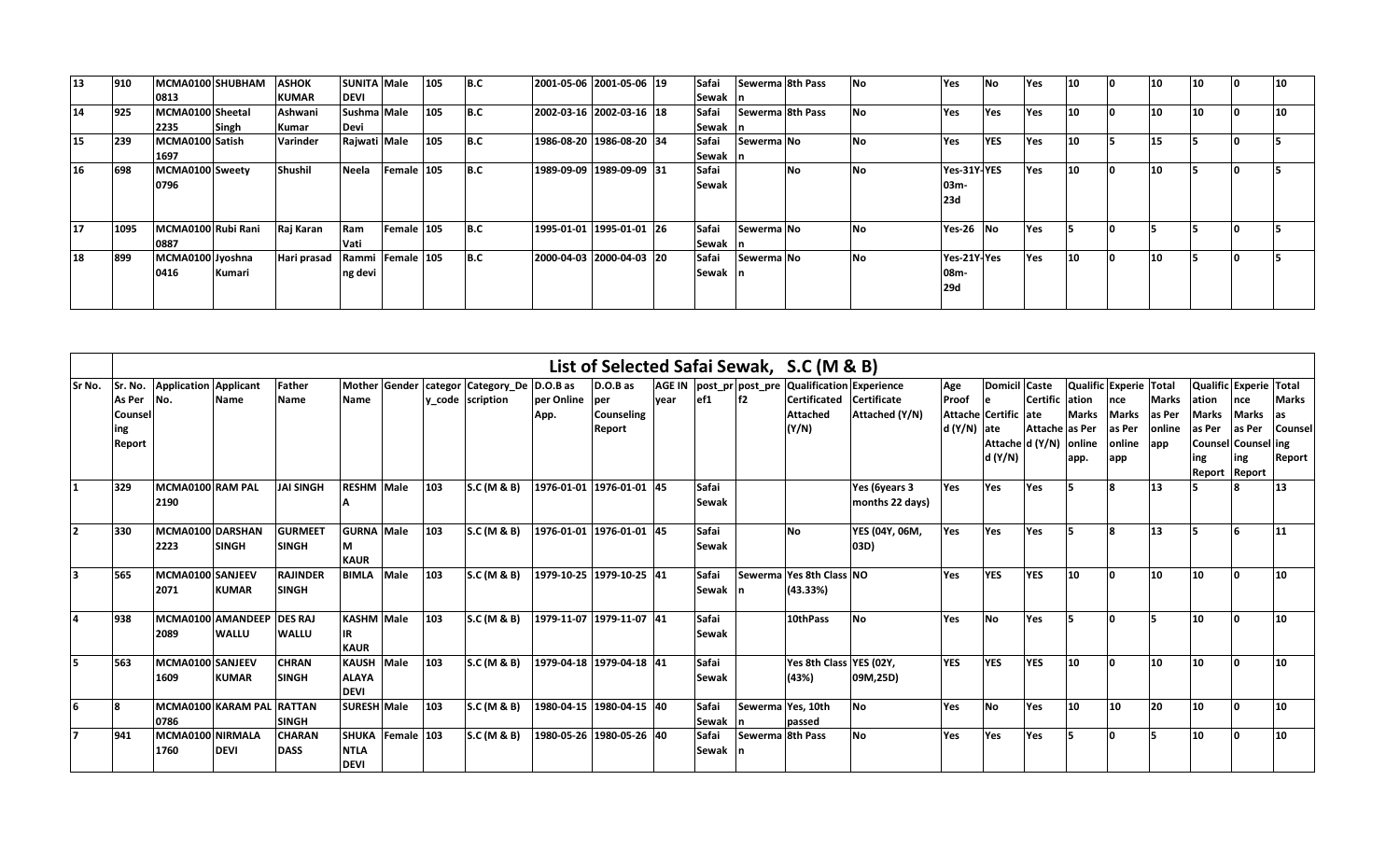| $ 13\rangle$ | 910  | MCMA0100 SHUBHAM   |        | <b>ASHOK</b> | <b>SUNITA Male</b> |                  | 105 | B.C | 2001-05-06 2001-05-06 19   | Safai |            | Sewerma 8th Pass | No        | Yes         | <b>No</b>  | Yes | 10 | 10 | 10 |    |
|--------------|------|--------------------|--------|--------------|--------------------|------------------|-----|-----|----------------------------|-------|------------|------------------|-----------|-------------|------------|-----|----|----|----|----|
|              |      | 0813               |        | <b>KUMAR</b> | <b>DEVI</b>        |                  |     |     |                            | Sewak |            |                  |           |             |            |     |    |    |    |    |
| 14           | 925  | MCMA0100 Sheetal   |        | Ashwani      | Sushma Male        |                  | 105 | B.C | 2002-03-16 2002-03-16 18   | Safai |            | Sewerma 8th Pass | No        | Yes         | Yes        | Yes | 10 | 10 | 10 | 10 |
|              |      | 2235               | Singh  | Kumar        | Devi               |                  |     |     |                            | Sewak |            |                  |           |             |            |     |    |    |    |    |
| 15           | 239  | MCMA0100 Satish    |        | Varinder     | Rajwati Male       |                  | 105 | B.C | 1986-08-20  1986-08-20  34 | Safai | Sewerma No |                  | No        | <b>Yes</b>  | <b>YES</b> | Yes | 10 | 15 |    |    |
|              |      | 1697               |        |              |                    |                  |     |     |                            | Sewak |            |                  |           |             |            |     |    |    |    |    |
| <b>16</b>    | 698  | MCMA0100 Sweety    |        | Shushil      | Neela              | Female 105       |     | B.C | 1989-09-09 1989-09-09 31   | Safai |            | <b>No</b>        | No        | Yes-31Y-YES |            | Yes | 10 | 10 |    |    |
|              |      | 0796               |        |              |                    |                  |     |     |                            | Sewak |            |                  |           | 03m-        |            |     |    |    |    |    |
|              |      |                    |        |              |                    |                  |     |     |                            |       |            |                  |           | <b>23d</b>  |            |     |    |    |    |    |
|              |      |                    |        |              |                    |                  |     |     |                            |       |            |                  |           |             |            |     |    |    |    |    |
| <b>17</b>    | 1095 | MCMA0100 Rubi Rani |        | Raj Karan    | Ram                | Female 105       |     | B.C | 1995-01-01  1995-01-01  26 | Safai | Sewerma No |                  | No        | Yes-26 No   |            | Yes |    |    |    |    |
|              |      | 0887               |        |              | Vati               |                  |     |     |                            | Sewak |            |                  |           |             |            |     |    |    |    |    |
| 18           | 899  | MCMA0100 Jyoshna   |        | Hari prasad  |                    | Rammi Female 105 |     | B.C | 2000-04-03 2000-04-03 20   | Safai | Sewerma No |                  | <b>No</b> | Yes-21Y-Yes |            | Yes | 10 | 10 |    |    |
|              |      | 0416               | Kumari |              | ng devi            |                  |     |     |                            | Sewak |            |                  |           | 08m-        |            |     |    |    |    |    |
|              |      |                    |        |              |                    |                  |     |     |                            |       |            |                  |           | <b>29d</b>  |            |     |    |    |    |    |
|              |      |                    |        |              |                    |                  |     |     |                            |       |            |                  |           |             |            |     |    |    |    |    |

|        |                                    |                                       |                                   |                                 |                                                |      |     |                                                  |                    |                                                 |       |                       |                   | List of Selected Safai Sewak, S.C (M & B)                                                                        |                                  |                             |                                                                                    |                                   |                                                |                                                |                                         |                                  |                                                                                                                 |                                   |
|--------|------------------------------------|---------------------------------------|-----------------------------------|---------------------------------|------------------------------------------------|------|-----|--------------------------------------------------|--------------------|-------------------------------------------------|-------|-----------------------|-------------------|------------------------------------------------------------------------------------------------------------------|----------------------------------|-----------------------------|------------------------------------------------------------------------------------|-----------------------------------|------------------------------------------------|------------------------------------------------|-----------------------------------------|----------------------------------|-----------------------------------------------------------------------------------------------------------------|-----------------------------------|
| Sr No. | As Per<br>Counsel<br>ing<br>Report | Sr. No. Application Applicant<br>INo. | <b>Name</b>                       | Father<br><b>Name</b>           | <b>Mother Gender</b><br><b>Name</b>            |      |     | categor Category De D.O.B as<br>y code scription | per Online<br>App. | D.O.B as<br>lper<br><b>Counseling</b><br>Report | lvear | ef1                   | lf2               | AGE IN   post_pr   post_pre   Qualification   Experience<br>Certificated Certificate<br><b>Attached</b><br>(Y/N) | Attached (Y/N)                   | Age<br>Proof<br>d (Y/N) ate | Domicil Caste<br>le.<br>Attache Certific late<br>Attache d (Y/N) online<br>d (Y/N) | Certific lation<br>Attache as Per | Qualific Experie Total<br><b>Marks</b><br>app. | nce<br><b>Marks</b><br>as Per<br>online<br>app | <b>Marks</b><br>as Per<br>online<br>app | lation<br>Marks<br>as Per<br>ing | Qualific Experie Total<br><b>Ince</b><br><b>Marks</b><br>as Per<br> Counsel Counsel ing<br>ing<br>Report Report | <b>Marks</b><br>Counsel<br>Report |
|        | 329                                | MCMA0100 RAM PAL<br>2190              |                                   | <b>JAI SINGH</b>                | <b>RESHM Male</b>                              |      | 103 | S.C (M & B)                                      |                    | 1976-01-01 1976-01-01 45                        |       | Safai<br>Sewak        |                   |                                                                                                                  | Yes (6years 3<br>months 22 days) | Yes                         | Yes                                                                                | Yes                               | 15                                             |                                                | 13                                      |                                  |                                                                                                                 | 13                                |
|        | 330                                | MCMA0100 DARSHAN<br>2223              | <b>SINGH</b>                      | <b>GURMEET</b><br><b>SINGH</b>  | <b>GURNA</b> Male<br>M<br><b>KAUR</b>          |      | 103 | S.C (M & B)                                      |                    | 1976-01-01 1976-01-01 45                        |       | Safai<br>Sewak        |                   | <b>No</b>                                                                                                        | YES (04Y, 06M,<br>03D)           | Yes                         | Yes                                                                                | Yes                               | 15                                             | R                                              | 13                                      |                                  |                                                                                                                 | 11                                |
|        | 565                                | MCMA0100 SANJEEV<br>2071              | <b>KUMAR</b>                      | <b>RAJINDER</b><br><b>SINGH</b> | <b>BIMLA</b>                                   | Male | 103 | S.C (M & B)                                      |                    | 1979-10-25 1979-10-25 41                        |       | Safai<br>Sewak        |                   | Sewerma Yes 8th Class NO<br>(43.33%)                                                                             |                                  | Yes                         | <b>YES</b>                                                                         | <b>YES</b>                        | 10                                             | ١o                                             | 10                                      | 10                               |                                                                                                                 | 10                                |
|        | 938                                | 2089                                  | MCMA0100 AMANDEEP<br><b>WALLU</b> | <b>DES RAJ</b><br><b>WALLU</b>  | <b>KASHM Male</b><br>lIR.<br><b>KAUR</b>       |      | 103 | S.C (M & B)                                      |                    | 1979-11-07 1979-11-07 41                        |       | Safai<br><b>Sewak</b> |                   | 10thPass                                                                                                         | <b>No</b>                        | Yes                         | <b>No</b>                                                                          | Yes                               |                                                |                                                |                                         | 10                               |                                                                                                                 | 10                                |
|        | 563                                | MCMA0100 SANJEEV<br>1609              | <b>KUMAR</b>                      | <b>CHRAN</b><br><b>SINGH</b>    | KAUSH Male<br><b>ALAYA</b><br><b>DEVI</b>      |      | 103 | S.C (M & B)                                      |                    | 1979-04-18 1979-04-18 41                        |       | Safai<br><b>Sewak</b> |                   | Yes 8th Class YES (02Y,<br>(43%)                                                                                 | 09M,25D)                         | <b>YES</b>                  | <b>YES</b>                                                                         | <b>YES</b>                        | 10                                             |                                                | 10                                      | 10                               | n                                                                                                               | 10                                |
|        |                                    | 0786                                  | MCMA0100 KARAM PAL RATTAN         | <b>ISINGH</b>                   | <b>SURESH Male</b>                             |      | 103 | S.C (M & B)                                      |                    | 1980-04-15 1980-04-15 40                        |       | Safai<br><b>Sewak</b> | Sewerma Yes, 10th | passed                                                                                                           | <b>No</b>                        | Yes                         | <b>No</b>                                                                          | Yes                               | 10                                             | 10                                             | 20                                      | 10                               |                                                                                                                 | 10 <sup>1</sup>                   |
|        | 941                                | MCMA0100 NIRMALA<br>1760              | <b>DEVI</b>                       | <b>CHARAN</b><br><b>DASS</b>    | SHUKA Female 103<br><b>NTLA</b><br><b>DEVI</b> |      |     | S.C (M & B)                                      |                    | 1980-05-26 1980-05-26 40                        |       | Safai<br>Sewak        | Sewerma 8th Pass  |                                                                                                                  | <b>No</b>                        | Yes                         | Yes                                                                                | Yes                               | 15                                             |                                                |                                         | 10                               |                                                                                                                 | 10                                |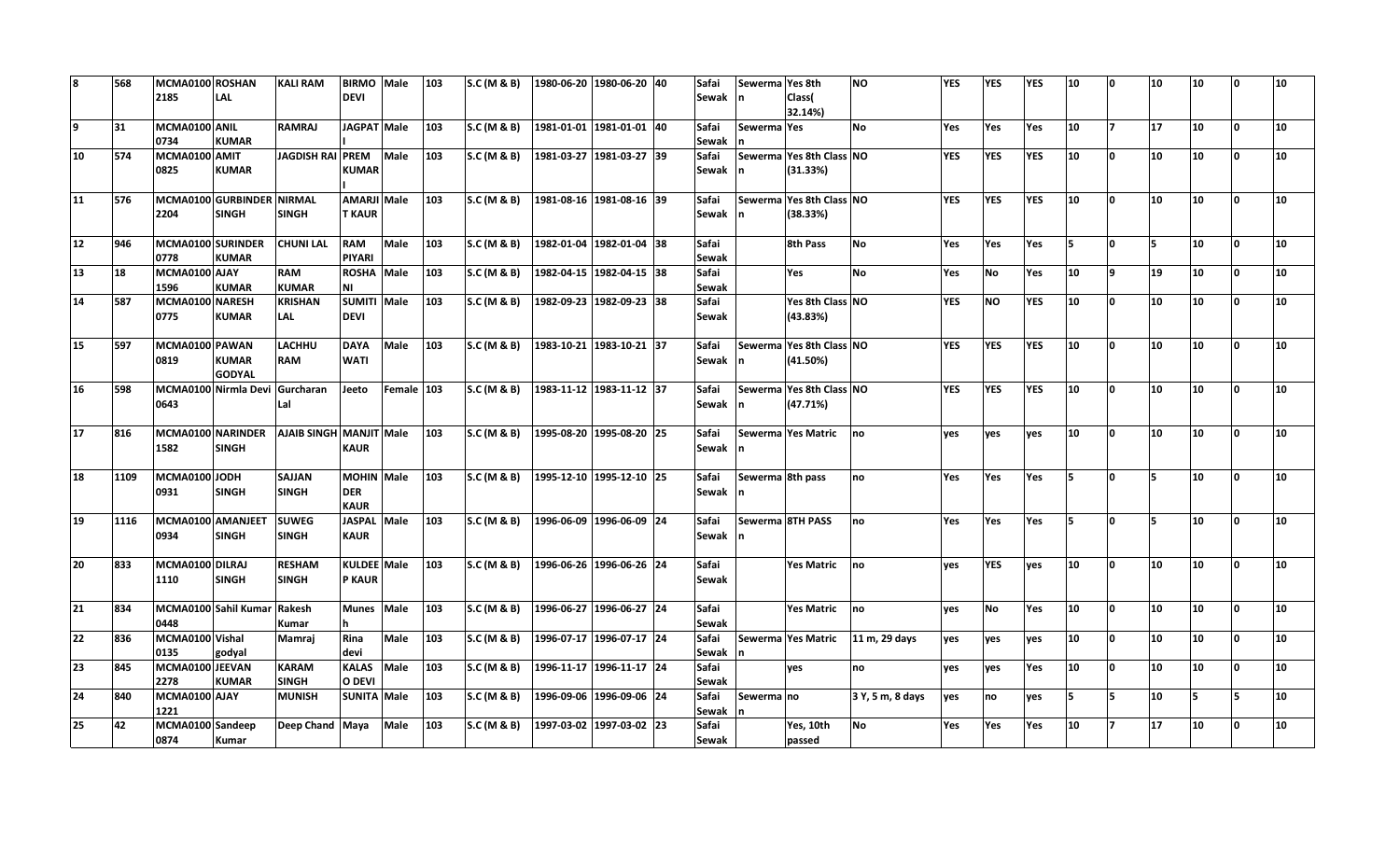| 8  | 568  | MCMA0100 ROSHAN<br>2185   | LAL                                       | <b>KALI RAM</b>               | <b>BIRMO</b><br><b>DEVI</b>                    | Male        | 103 | S.C (M & B)            | 1980-06-20 1980-06-20 40   |                          | Safai<br>Sewak | Sewerma Yes 8th  | Class(<br>32.14%)                    | <b>NO</b>        | YES        | <b>YES</b> | YES | 10  | ١o       | 10  | 10 | ١o | 10 |
|----|------|---------------------------|-------------------------------------------|-------------------------------|------------------------------------------------|-------------|-----|------------------------|----------------------------|--------------------------|----------------|------------------|--------------------------------------|------------------|------------|------------|-----|-----|----------|-----|----|----|----|
| 9  | 31   | MCMA0100 ANIL<br>0734     | <b>KUMAR</b>                              | <b>RAMRAJ</b>                 | JAGPAT Male                                    |             | 103 | S.C (M & B)            | 1981-01-01 1981-01-01 40   |                          | Safai<br>Sewak | Sewerma Yes      |                                      | <b>No</b>        | Yes        | Yes        | Yes | 10  | 17       | 17  | 10 | I٥ | 10 |
| 10 | 574  | MCMA0100 AMIT<br>0825     | <b>KUMAR</b>                              | <b>JAGDISH RAI</b>            | <b>PREM</b><br><b>KUMAR</b>                    | Male        | 103 | S.C (M & B)            | 1981-03-27 1981-03-27 39   |                          | Safai<br>Sewak |                  | Sewerma Yes 8th Class NO<br>(31.33%) |                  | <b>YES</b> | <b>YES</b> | YES | 10  | 0        | 10  | 10 | ١o | 10 |
| 11 | 576  | 2204                      | MCMA0100 GURBINDER NIRMAL<br><b>SINGH</b> | <b>SINGH</b>                  | <b>AMARJI Male</b><br><b>T KAUR</b>            |             | 103 | S.C (M & B)            | 1981-08-16 1981-08-16 39   |                          | Safai<br>Sewak |                  | Sewerma Yes 8th Class NO<br>(38.33%) |                  | <b>YES</b> | <b>YES</b> | YES | 10  | <b>O</b> | 10  | 10 | ١o | 10 |
| 12 | 946  | MCMA0100 SURINDER<br>0778 | <b>KUMAR</b>                              | <b>CHUNI LAL</b>              | <b>RAM</b><br><b>PIYARI</b>                    | Male        | 103 | <b>S.C (M &amp; B)</b> | 1982-01-04 1982-01-04 38   |                          | Safai<br>Sewak |                  | 8th Pass                             | <b>No</b>        | Yes        | Yes        | Yes | ls. | I٥       | l5. | 10 | ١o | 10 |
| 13 | 18   | MCMA0100 AJAY<br>1596     | <b>KUMAR</b>                              | <b>RAM</b><br><b>KUMAR</b>    | <b>ROSHA</b><br>ΝI                             | Male        | 103 | S.C (M & B)            |                            | 1982-04-15 1982-04-15 38 | Safai<br>Sewak |                  | Yes                                  | <b>No</b>        | Yes        | <b>No</b>  | Yes | 10  | ۱9.      | 19  | 10 | ١o | 10 |
| 14 | 587  | MCMA0100 NARESH<br>0775   | <b>KUMAR</b>                              | <b>KRISHAN</b><br><b>LAL</b>  | <b>SUMITI</b><br><b>DEVI</b>                   | Male        | 103 | S.C (M & B)            |                            | 1982-09-23 1982-09-23 38 | Safai<br>Sewak |                  | Yes 8th Class NO<br>(43.83%)         |                  | <b>YES</b> | <b>NO</b>  | YES | 10  | <b>O</b> | 10  | 10 | I٥ | 10 |
| 15 | 597  | MCMA0100 PAWAN<br>0819    | <b>KUMAR</b><br><b>GODYAL</b>             | <b>LACHHU</b><br><b>RAM</b>   | <b>DAYA</b><br><b>WATI</b>                     | Male        | 103 | S.C (M & B)            | 1983-10-21 1983-10-21 37   |                          | Safai<br>Sewak | In.              | Sewerma Yes 8th Class NO<br>(41.50%) |                  | <b>YES</b> | <b>YES</b> | YES | 10  | l n      | 10  | 10 | ١o | 10 |
| 16 | 598  | 0643                      | MCMA0100 Nirmla Devi Gurcharan            | Lal                           | Jeeto                                          | Female 103  |     | S.C (M & B)            | 1983-11-12 1983-11-12 37   |                          | Safai<br>Sewak |                  | Sewerma Yes 8th Class NO<br>(47.71%) |                  | <b>YES</b> | <b>YES</b> | YES | 10  | l n      | 10  | 10 | I٥ | 10 |
| 17 | 816  | 1582                      | MCMA0100 NARINDER<br><b>SINGH</b>         | AJAIB SINGH MANJIT Male       | <b>KAUR</b>                                    |             | 103 | S.C (M & B)            | 1995-08-20  1995-08-20  25 |                          | Safai<br>Sewak |                  | Sewerma Yes Matric                   | no               | ves        | ves        | yes | 10  | <b>O</b> | 10  | 10 | 0  | 10 |
| 18 | 1109 | MCMA0100 JODH<br>0931     | <b>SINGH</b>                              | SAJJAN<br><b>SINGH</b>        | <b>MOHIN</b> Male<br><b>DER</b><br><b>KAUR</b> |             | 103 | S.C (M & B)            | 1995-12-10 1995-12-10 25   |                          | Safai<br>Sewak | Sewerma 8th pass |                                      | Ino              | Yes        | Yes        | Yes | 5   | <b>O</b> | İ5  | 10 | I٥ | 10 |
| 19 | 1116 | MCMA0100 AMANJEET<br>0934 | <b>SINGH</b>                              | <b>SUWEG</b><br><b>SINGH</b>  | <b>JASPAL</b><br><b>KAUR</b>                   | Male        | 103 | S.C (M & B)            | 1996-06-09  1996-06-09  24 |                          | Safai<br>Sewak |                  | Sewerma 8TH PASS                     | Ino              | Yes        | <b>Yes</b> | Yes | 5   | l n      | l5. | 10 | I٥ | 10 |
| 20 | 833  | MCMA0100 DILRAJ<br>1110   | <b>SINGH</b>                              | <b>RESHAM</b><br><b>SINGH</b> | <b>KULDEE</b> Male<br><b>P KAUR</b>            |             | 103 | S.C (M & B)            | 1996-06-26  1996-06-26  24 |                          | Safai<br>Sewak |                  | <b>Yes Matric</b>                    | no               | ves        | <b>YES</b> | ves | 10  | <b>O</b> | 10  | 10 | O  | 10 |
| 21 | 834  | 0448                      | MCMA0100 Sahil Kumar                      | Rakesh<br>Kumar               | <b>Munes</b>                                   | Male        | 103 | S.C (M & B)            | 1996-06-27  1996-06-27  24 |                          | Safai<br>Sewak |                  | <b>Yes Matric</b>                    | Ino              | ves        | <b>No</b>  | Yes | 10  | <b>O</b> | 10  | 10 | O  | 10 |
| 22 | 836  | MCMA0100 Vishal<br>0135   | godyal                                    | <b>Mamrai</b>                 | Rina<br>devi                                   | Male        | 103 | S.C (M & B)            | 1996-07-17 1996-07-17 24   |                          | Safai<br>Sewak |                  | Sewerma Yes Matric                   | 11 m, 29 days    | ves        | ves        | ves | 10  | 0        | 10  | 10 | I٥ | 10 |
| 23 | 845  | MCMA0100 JEEVAN<br>2278   | <b>KUMAR</b>                              | <b>KARAM</b><br><b>SINGH</b>  | <b>KALAS</b><br>O DEVI                         | <b>Male</b> | 103 | S.C (M & B)            | 1996-11-17 1996-11-17 24   |                          | Safai<br>Sewak |                  | yes                                  | no               | ves        | yes        | Yes | 10  | <b>O</b> | 10  | 10 | O  | 10 |
| 24 | 840  | MCMA0100 AJAY<br>1221     |                                           | <b>MUNISH</b>                 | <b>SUNITA Male</b>                             |             | 103 | S.C (M & B)            |                            | 1996-09-06 1996-09-06 24 | Safai<br>Sewak | Sewerma no       |                                      | 3 Y, 5 m, 8 days | ves        | no         | yes | 5   | l5       | 10  | l5 | 5  | 10 |
| 25 | 42   | MCMA0100 Sandeep<br>0874  | Kumar                                     | Deep Chand Maya               |                                                | Male        | 103 | S.C (M & B)            |                            | 1997-03-02 1997-03-02 23 | Safai<br>Sewak |                  | Yes, 10th<br>passed                  | No               | Yes        | Yes        | Yes | 10  | 17       | 17  | 10 | O  | 10 |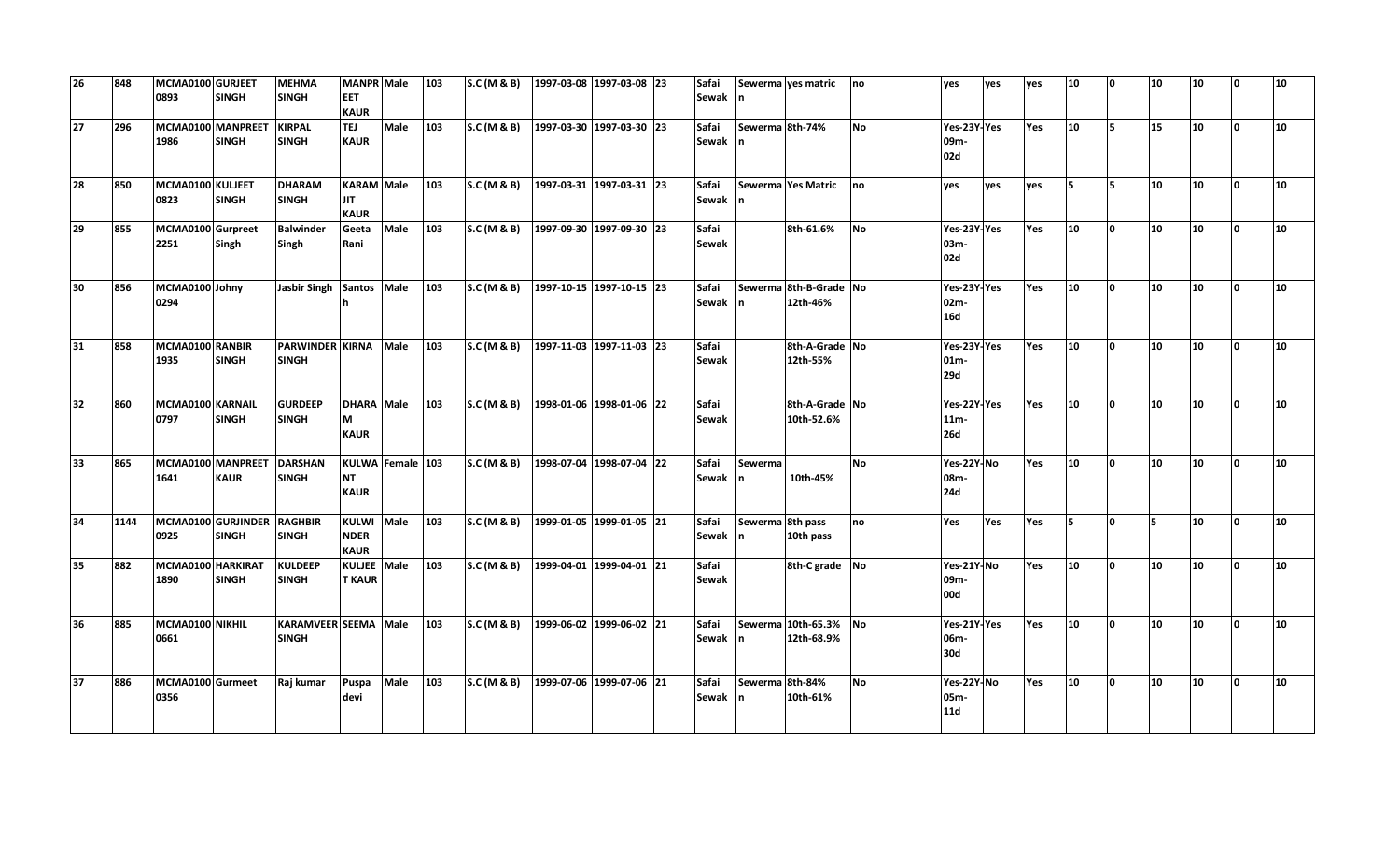| 26              | 848  | MCMA0100 GURJEET<br>0893  | <b>SINGH</b>                               | <b>MEHMA</b><br><b>SINGH</b>           | MANPR Male<br><b>EET</b><br><b>KAUR</b>    |                  | 103 | SC(M & B)   | 1997-03-08 1997-03-08 23 | Safai<br>Sewak n      |                        | Sewerma ves matric                 | no        | ves                                  | ves | ves | 10  | <b>O</b>     | 10 | 10 | <sup>0</sup> | 10               |
|-----------------|------|---------------------------|--------------------------------------------|----------------------------------------|--------------------------------------------|------------------|-----|-------------|--------------------------|-----------------------|------------------------|------------------------------------|-----------|--------------------------------------|-----|-----|-----|--------------|----|----|--------------|------------------|
| 27              | 296  | 1986                      | MCMA0100 MANPREET KIRPAL<br><b>SINGH</b>   | <b>SINGH</b>                           | <b>TEJ</b><br><b>KAUR</b>                  | Male             | 103 | S.C (M & B) | 1997-03-30 1997-03-30 23 | Safai<br>Sewak n      | Sewerma 8th-74%        |                                    | <b>No</b> | Yes-23Y-Yes<br>09m-<br>02d           |     | Yes | 10  | 5            | 15 | 10 | $\Omega$     | 10               |
| 28              | 850  | MCMA0100 KULJEET<br>0823  | <b>SINGH</b>                               | <b>DHARAM</b><br><b>SINGH</b>          | KARAM Male<br><b>JIT</b><br><b>KAUR</b>    |                  | 103 | S.C (M & B) | 1997-03-31 1997-03-31 23 | Safai<br>Sewak n      |                        | Sewerma Yes Matric                 | no        | ves                                  | ves | ves | ls. | 5            | 10 | 10 | lo.          | 10               |
| $\overline{29}$ | 855  | MCMA0100 Gurpreet<br>2251 | Singh                                      | <b>Balwinder</b><br>Singh              | Geeta<br>Rani                              | Male             | 103 | S.C (M & B) | 1997-09-30 1997-09-30 23 | Safai<br><b>Sewak</b> |                        | 8th-61.6%                          | No        | Yes-23Y-Yes<br>03m-<br>02d           |     | Yes | 10  | I٥           | 10 | 10 | n.           | 10               |
| 30              | 856  | MCMA0100 Johny<br>0294    |                                            | <b>Jasbir Singh</b>                    | Santos Male                                |                  | 103 | S.C (M & B) | 1997-10-15 1997-10-15 23 | Safai<br>Sewak n      |                        | Sewerma 8th-B-Grade No<br>12th-46% |           | Yes-23Y-Yes<br>02m-<br><b>16d</b>    |     | Yes | 10  | l N          | 10 | 10 | $\Omega$     | 10               |
| 31              | 858  | MCMA0100 RANBIR<br>1935   | <b>SINGH</b>                               | <b>PARWINDER KIRNA</b><br><b>SINGH</b> |                                            | Male             | 103 | SC(M & B)   | 1997-11-03 1997-11-03 23 | Safai<br><b>Sewak</b> |                        | 8th-A-Grade No<br>12th-55%         |           | Yes-23Y-Yes<br>$01m-$<br>29d         |     | Yes | 10  | n.           | 10 | 10 | $\Omega$     | 10               |
| 32              | 860  | MCMA0100 KARNAIL<br>0797  | <b>SINGH</b>                               | <b>GURDEEP</b><br><b>SINGH</b>         | DHARA Male<br>М<br><b>KAUR</b>             |                  | 103 | S.C (M & B) | 1998-01-06 1998-01-06 22 | Safai<br><b>Sewak</b> |                        | 8th-A-Grade No<br>10th-52.6%       |           | Yes-22Y-Yes<br>$11m -$<br><b>26d</b> |     | Yes | 10  | <sup>o</sup> | 10 | 10 | $\Omega$     | 10               |
| 33              | 865  | 1641                      | MCMA0100 MANPREET<br><b>KAUR</b>           | DARSHAN<br><b>SINGH</b>                | NT<br><b>KAUR</b>                          | KULWA Female 103 |     | S.C (M & B) | 1998-07-04 1998-07-04 22 | Safai<br>Sewak n      | Sewerma                | 10th-45%                           | <b>No</b> | Yes-22Y-No<br>08m-<br>24d            |     | Yes | 10  | O            | 10 | 10 | $\mathbf{0}$ | 10               |
| 34              | 1144 | 0925                      | MCMA0100 GURJINDER RAGHBIR<br><b>SINGH</b> | <b>SINGH</b>                           | <b>KULWI</b><br><b>NDER</b><br><b>KAUR</b> | Male             | 103 | S.C (M & B) | 1999-01-05 1999-01-05 21 | Safai<br>Sewak n      | Sewerma 8th pass       | 10th pass                          | no        | Yes                                  | Yes | Yes | l5. | <sup>o</sup> | 5  | 10 | n.           | 10               |
| 35              | 882  | MCMA0100 HARKIRAT<br>1890 | <b>SINGH</b>                               | <b>KULDEEP</b><br><b>SINGH</b>         | KULJEE Male<br><b>T KAUR</b>               |                  | 103 | SC(M & B)   | 1999-04-01 1999-04-01 21 | Safai<br><b>Sewak</b> |                        | 8th-C grade No                     |           | Yes-21Y-No<br>09m-<br>00d            |     | Yes | 10  | n            | 10 | 10 | 'n           | 10               |
| 36              | 885  | MCMA0100 NIKHIL<br>0661   |                                            | KARAMVEER SEEMA Male<br><b>SINGH</b>   |                                            |                  | 103 | S.C (M & B) | 1999-06-02 1999-06-02 21 | Safai<br>Sewak n      |                        | Sewerma 10th-65.3%<br>12th-68.9%   | <b>No</b> | Yes-21Y-Yes<br>06m-<br>30d           |     | Yes | 10  | O            | 10 | 10 | <sup>0</sup> | 10 <sup>10</sup> |
| 37              | 886  | MCMA0100 Gurmeet<br>0356  |                                            | Raj kumar                              | Puspa<br>devi                              | Male             | 103 | S.C (M & B) | 1999-07-06 1999-07-06 21 | Safai<br>Sewak        | Sewerma 8th-84%<br>In. | 10th-61%                           | <b>No</b> | Yes-22Y-No<br>05m-<br>11d            |     | Yes | 10  | O            | 10 | 10 | $\mathbf{0}$ | 10               |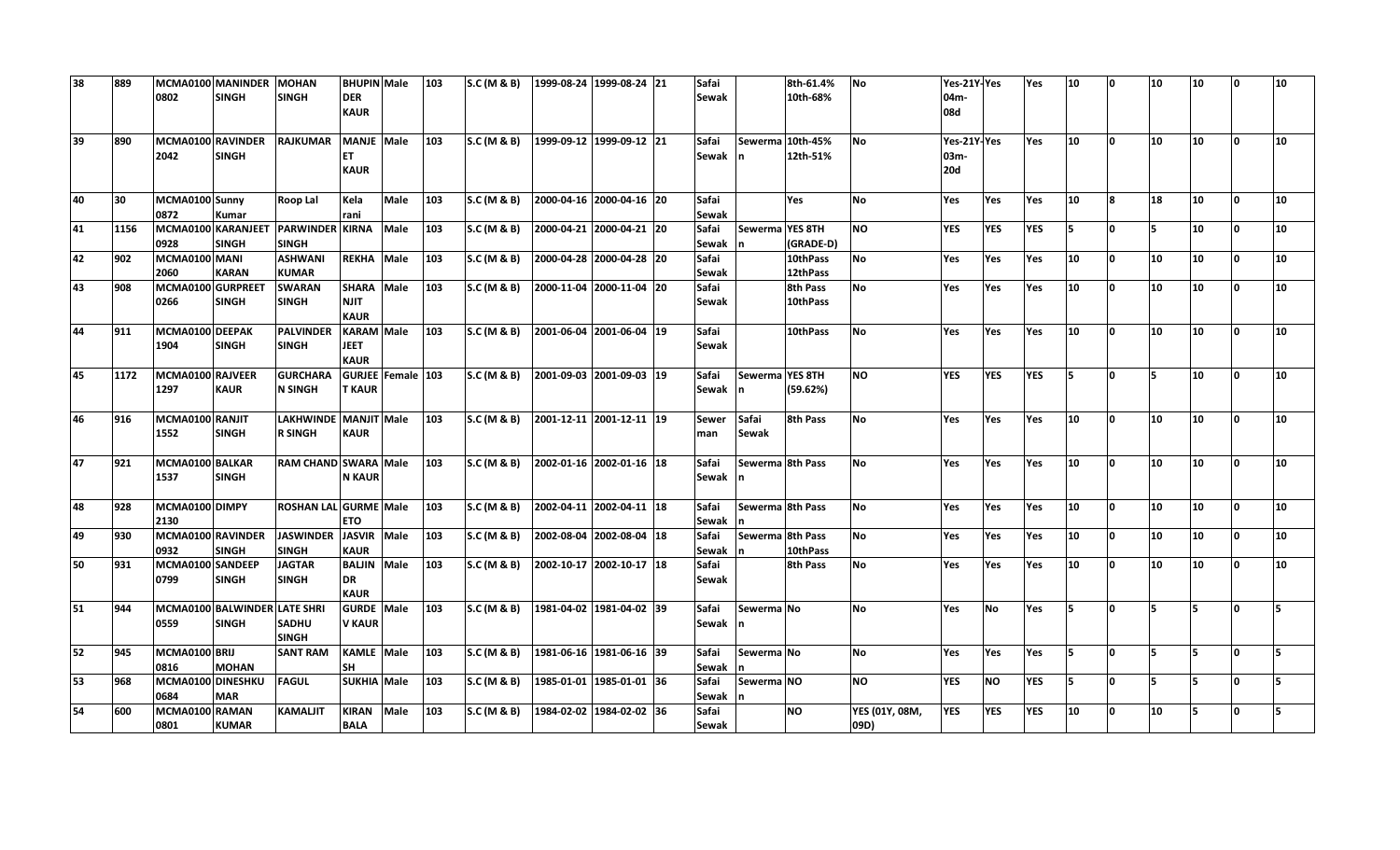| 38 | 889  | 0802                      | MCMA0100 MANINDER<br><b>SINGH</b>            | <b>MOHAN</b><br><b>SINGH</b>            | <b>BHUPIN</b> Male<br><b>DER</b><br><b>KAUR</b> |            | 103 | S.C (M & B)            | 1999-08-24  1999-08-24  21 | Safai<br>Sewak        |                       | 8th-61.4%<br>10th-68%        | <b>No</b>              | Yes-21Y-Yes<br>04m-<br>08d        |            | Yes        | 10  |              | 10  | 10  | n            | 10              |
|----|------|---------------------------|----------------------------------------------|-----------------------------------------|-------------------------------------------------|------------|-----|------------------------|----------------------------|-----------------------|-----------------------|------------------------------|------------------------|-----------------------------------|------------|------------|-----|--------------|-----|-----|--------------|-----------------|
| 39 | 890  | MCMA0100 RAVINDER<br>2042 | <b>SINGH</b>                                 | <b>RAJKUMAR</b>                         | <b>MANJE</b> Male<br><b>ET</b><br><b>KAUR</b>   |            | 103 | S.C (M & B)            | 1999-09-12  1999-09-12  21 | Safai<br>Sewak        |                       | Sewerma 10th-45%<br>12th-51% | <b>No</b>              | Yes-21Y-Yes<br>03m-<br><b>20d</b> |            | <b>Yes</b> | 10  | l N          | 10  | 10  | <sup>0</sup> | 10              |
| 40 | 30   | MCMA0100 Sunny<br>0872    | Kumar                                        | Roop Lal                                | Kela<br>rani                                    | Male       | 103 | S.C (M & B)            | 2000-04-16 2000-04-16 20   | Safai<br>Sewak        |                       | Yes                          | <b>No</b>              | Yes                               | Yes        | Yes        | 10  | <b>R</b>     | 18  | 10  | $\Omega$     | 10              |
| 41 | 1156 | 0928                      | MCMA0100 KARANJEET<br><b>SINGH</b>           | <b>PARWINDER KIRNA</b><br><b>SINGH</b>  |                                                 | Male       | 103 | <b>S.C (M &amp; B)</b> | 2000-04-21 2000-04-21 20   | Safai<br>Sewak        | Sewerma YES 8TH       | (GRADE-D)                    | <b>NO</b>              | <b>YES</b>                        | <b>YES</b> | <b>YES</b> | 15  | O            | 5   | 10  | n.           | 10              |
| 42 | 902  | MCMA0100 MANI<br>2060     | <b>KARAN</b>                                 | <b>ASHWANI</b><br><b>KUMAR</b>          | <b>REKHA</b>                                    | Male       | 103 | S.C (M & B)            | 2000-04-28 2000-04-28 20   | Safai<br><b>Sewak</b> |                       | 10thPass<br>12thPass         | <b>No</b>              | Yes                               | Yes        | Yes        | 10  |              | 10  | 10  | $\Omega$     | 10              |
| 43 | 908  | MCMA0100 GURPREET<br>0266 | <b>SINGH</b>                                 | <b>SWARAN</b><br><b>SINGH</b>           | <b>SHARA</b><br><b>NJIT</b><br><b>KAUR</b>      | Male       | 103 | <b>S.C (M &amp; B)</b> | 2000-11-04 2000-11-04 20   | Safai<br>Sewak        |                       | 8th Pass<br>10thPass         | No                     | Yes                               | Yes        | Yes        | 10  | n            | 10  | 10  | n.           | 10              |
| 44 | 911  | MCMA0100 DEEPAK<br>1904   | <b>SINGH</b>                                 | <b>PALVINDER</b><br><b>SINGH</b>        | <b>KARAM</b> Male<br><b>JEET</b><br><b>KAUR</b> |            | 103 | S.C (M & B)            | 2001-06-04 2001-06-04 19   | Safai<br><b>Sewak</b> |                       | 10thPass                     | No                     | Yes                               | Yes        | Yes        | 10  | n            | 10  | 10  | n.           | 10 <sup>1</sup> |
| 45 | 1172 | MCMA0100 RAJVEER<br>1297  | <b>KAUR</b>                                  | <b>GURCHARA</b><br><b>N SINGH</b>       | <b>GURJEE</b><br><b>T KAUR</b>                  | Female 103 |     | S.C (M & B)            | 2001-09-03 2001-09-03 19   | Safai<br>Sewak        | Sewerma YES 8TH       | (59.62%)                     | ΝO                     | <b>YES</b>                        | <b>YES</b> | <b>YES</b> | l5. | n            | 5   | 10  | <b>O</b>     | 10              |
| 46 | 916  | MCMA0100 RANJIT<br>1552   | <b>SINGH</b>                                 | LAKHWINDE MANJIT Male<br><b>R SINGH</b> | <b>KAUR</b>                                     |            | 103 | S.C (M & B)            | 2001-12-11 2001-12-11 19   | <b>Sewer</b><br>man   | Safai<br><b>Sewak</b> | 8th Pass                     | No                     | <b>Yes</b>                        | Yes        | Yes        | 10  | n            | 10  | 10  | <b>O</b>     | 10 <sup>1</sup> |
| 47 | 921  | MCMA0100 BALKAR<br>1537   | <b>SINGH</b>                                 | RAM CHAND SWARA Male                    | <b>N KAUR</b>                                   |            | 103 | S.C (M & B)            | 2002-01-16 2002-01-16 18   | Safai<br>Sewak        |                       | Sewerma 8th Pass             | No                     | Yes                               | Yes        | Yes        | 10  | n            | 10  | 10  | $\Omega$     | 10              |
| 48 | 928  | MCMA0100 DIMPY<br>2130    |                                              | <b>ROSHAN LAL GURME Male</b>            | <b>ETO</b>                                      |            | 103 | S.C (M & B)            | 2002-04-11 2002-04-11 18   | Safai<br><b>Sewak</b> | Sewerma 8th Pass      |                              | No                     | Yes                               | Yes        | Yes        | 10  | n            | 10  | 10  | lo.          | 10 <sup>1</sup> |
| 49 | 930  | MCMA0100 RAVINDER<br>0932 | <b>SINGH</b>                                 | <b>JASWINDER</b><br><b>SINGH</b>        | <b>JASVIR</b><br><b>KAUR</b>                    | Male       | 103 | S.C (M & B)            | 2002-08-04 2002-08-04 18   | Safai<br><b>Sewak</b> | Sewerma 8th Pass      | 10thPass                     | No                     | Yes                               | Yes        | Yes        | 10  |              | 10  | 10  | n            | 10              |
| 50 | 931  | MCMA0100 SANDEEP<br>0799  | <b>SINGH</b>                                 | <b>JAGTAR</b><br><b>SINGH</b>           | <b>BALJIN</b><br>DR<br><b>KAUR</b>              | Male       | 103 | S.C (M & B)            | 2002-10-17 2002-10-17 18   | Safai<br>Sewak        |                       | 8th Pass                     | No                     | Yes                               | Yes        | Yes        | 10  | n.           | 10  | 10  | n.           | 10              |
| 51 | 944  | 0559                      | MCMA0100 BALWINDER LATE SHRI<br><b>SINGH</b> | <b>SADHU</b><br><b>SINGH</b>            | <b>GURDE</b> Male<br><b>V KAUR</b>              |            | 103 | S.C (M & B)            | 1981-04-02 1981-04-02 39   | Safai<br>Sewak        | Sewerma No            |                              | <b>No</b>              | Yes                               | <b>No</b>  | Yes        | ls. | <sup>o</sup> | ls. | 5   | n.           | Б               |
| 52 | 945  | MCMA0100 BRIJ<br>0816     | <b>MOHAN</b>                                 | <b>SANT RAM</b>                         | KAMLE Male<br><b>SH</b>                         |            | 103 | S.C (M & B)            | 1981-06-16 1981-06-16 39   | Safai<br><b>Sewak</b> | Sewerma No            |                              | No                     | Yes                               | Yes        | Yes        | 15  | O            | 5   | 5   | 'n           |                 |
| 53 | 968  | MCMA0100 DINESHKU<br>0684 | <b>MAR</b>                                   | <b>FAGUL</b>                            | <b>SUKHIA Male</b>                              |            | 103 | S.C (M & B)            | 1985-01-01 1985-01-01 36   | Safai<br><b>Sewak</b> | Sewerma NO            |                              | NO                     | <b>YES</b>                        | <b>NO</b>  | <b>YES</b> | 15  | n.           | 5   | 15. | n.           | Б.              |
| 54 | 600  | MCMA0100 RAMAN<br>0801    | <b>KUMAR</b>                                 | <b>KAMALJIT</b>                         | <b>KIRAN</b><br><b>BALA</b>                     | Male       | 103 | S.C (M & B)            | 1984-02-02 1984-02-02 36   | Safai<br><b>Sewak</b> |                       | <b>NO</b>                    | YES (01Y, 08M,<br>09D) | YES                               | <b>YES</b> | <b>YES</b> | 10  | n            | 10  | 5   | n.           | Б.              |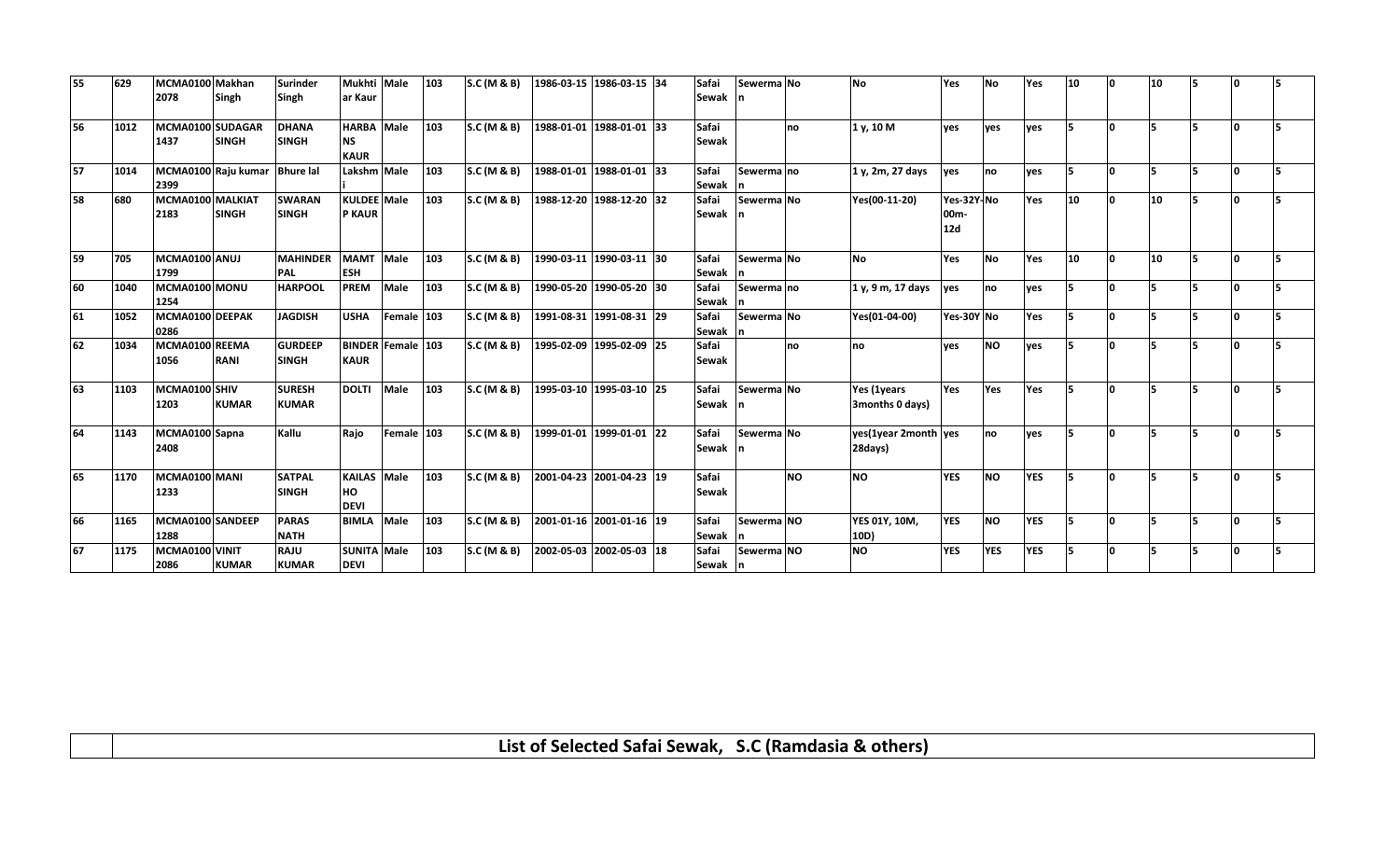| 55 | 629  | MCMA0100 Makhan<br>2078  | Singh                         | <b>Surinder</b><br>Singh       | Mukhti Male<br>ar Kaur                        |                          | 103 | <b>S.C</b> (M & B) |                          | 1986-03-15 1986-03-15 34 | Safai<br><b>Sewak</b> | Sewerma No |           | <b>No</b>                       | Yes                                  | No         | Yes        | 10              |          | 10 |   |    |    |
|----|------|--------------------------|-------------------------------|--------------------------------|-----------------------------------------------|--------------------------|-----|--------------------|--------------------------|--------------------------|-----------------------|------------|-----------|---------------------------------|--------------------------------------|------------|------------|-----------------|----------|----|---|----|----|
|    |      |                          |                               |                                |                                               |                          |     |                    |                          |                          |                       |            |           |                                 |                                      |            |            |                 |          |    |   |    |    |
| 56 | 1012 | MCMA0100 SUDAGAR<br>1437 | <b>SINGH</b>                  | <b>DHANA</b><br><b>SINGH</b>   | <b>HARBA</b> Male<br><b>NS</b><br><b>KAUR</b> |                          | 103 | <b>S.C</b> (M & B) | 1988-01-01 1988-01-01 33 |                          | Safai<br>Sewak        |            | no        | 1 v, 10 M                       | ves                                  | ves        | ves        | 5.              | n        |    |   | n  |    |
| 57 | 1014 | 2399                     | MCMA0100 Raju kumar Bhure lal |                                | Lakshm Male                                   |                          | 103 | S.C (M & B)        |                          | 1988-01-01 1988-01-01 33 | Safai<br><b>Sewak</b> | Sewerma no |           | 1 y, 2m, 27 days                | ves                                  | no         | yes        |                 | $\Omega$ |    |   | n  |    |
| 58 | 680  | MCMA0100 MALKIAT<br>2183 | <b>SINGH</b>                  | <b>SWARAN</b><br><b>SINGH</b>  | <b>KULDEE</b> Male<br><b>P KAUR</b>           |                          | 103 | S.C (M & B)        |                          | 1988-12-20 1988-12-20 32 | Safai<br>Sewak        | Sewerma No |           | Yes(00-11-20)                   | Yes-32Y-No<br>00 <sub>m</sub><br>12d |            | Yes        | 10 <sup>1</sup> | <b>n</b> | 10 | 5 | n. | 15 |
| 59 | 705  | MCMA0100 ANUJ<br>1799    |                               | <b>MAHINDER</b><br>PAL         | <b>MAMT</b><br><b>ESH</b>                     | Male                     | 103 | <b>S.C</b> (M & B) |                          | 1990-03-11 1990-03-11 30 | Safai<br>Sewak        | Sewerma No |           | <b>No</b>                       | Yes                                  | <b>No</b>  | Yes        | 10              | n        | 10 |   |    |    |
| 60 | 1040 | MCMA0100 MONU<br>1254    |                               | <b>HARPOOL</b>                 | <b>PREM</b>                                   | Male                     | 103 | S.C (M & B)        |                          | 1990-05-20 1990-05-20 30 | Safai<br>Sewak        | Sewerma no |           | 1 y, 9 m, 17 days               | ves                                  | no         | yes        |                 |          |    |   |    |    |
| 61 | 1052 | MCMA0100 DEEPAK<br>0286  |                               | <b>JAGDISH</b>                 | <b>USHA</b>                                   | Female 103               |     | S.C (M & B)        |                          | 1991-08-31 1991-08-31 29 | Safai<br><b>Sewak</b> | Sewerma No |           | Yes(01-04-00)                   | Yes-30Y No                           |            | Yes        | 5.              |          |    |   |    |    |
| 62 | 1034 | MCMA0100 REEMA<br>1056   | <b>RANI</b>                   | <b>GURDEEP</b><br><b>SINGH</b> | <b>KAUR</b>                                   | <b>BINDER Female 103</b> |     | S.C (M & B)        |                          | 1995-02-09 1995-02-09 25 | Safai<br>Sewak        |            | no        | no.                             | ves                                  | <b>NO</b>  | ves        |                 | n        |    |   |    |    |
| 63 | 1103 | MCMA0100 SHIV<br>1203    | <b>KUMAR</b>                  | <b>SURESH</b><br><b>KUMAR</b>  | <b>DOLTI</b>                                  | Male                     | 103 | <b>S.C</b> (M & B) |                          | 1995-03-10 1995-03-10 25 | Safai<br>Sewak        | Sewerma No |           | Yes (1years<br>3months 0 days)  | Yes                                  | Yes        | Yes        | 5.              | n        |    |   |    |    |
| 64 | 1143 | MCMA0100 Sapna<br>2408   |                               | Kallu                          | Raio                                          | Female 103               |     | S.C (M & B)        | 1999-01-01 1999-01-01 22 |                          | Safai<br>Sewak        | Sewerma No |           | yes(1year 2month yes<br>28days) |                                      | no         | ves        | 5               | n        |    |   | n  |    |
| 65 | 1170 | MCMA0100 MANI<br>1233    |                               | <b>SATPAL</b><br><b>SINGH</b>  | <b>KAILAS</b><br>HO<br><b>DEVI</b>            | Male                     | 103 | <b>S.C</b> (M & B) | 2001-04-23 2001-04-23 19 |                          | Safai<br>Sewak        |            | <b>NO</b> | <b>NO</b>                       | <b>YES</b>                           | <b>NO</b>  | <b>YES</b> | 5               |          |    |   | n  |    |
| 66 | 1165 | MCMA0100 SANDEEP<br>1288 |                               | <b>PARAS</b><br><b>NATH</b>    | <b>BIMLA</b>                                  | Male                     | 103 | S.C (M & B)        | 2001-01-16 2001-01-16 19 |                          | Safai<br>Sewak        | Sewerma NO |           | <b>YES 01Y, 10M,</b><br>10D)    | <b>YES</b>                           | <b>NO</b>  | <b>YES</b> |                 | n        |    |   |    |    |
| 67 | 1175 | MCMA0100 VINIT<br>2086   | <b>KUMAR</b>                  | <b>RAJU</b><br><b>KUMAR</b>    | <b>SUNITA Male</b><br><b>DEVI</b>             |                          | 103 | <b>S.C</b> (M & B) | 2002-05-03 2002-05-03 18 |                          | Safai<br>Sewak n      | Sewerma NO |           | <b>NO</b>                       | <b>YES</b>                           | <b>YES</b> | <b>YES</b> |                 |          |    |   |    |    |

**List of Selected Safai Sewak, S.C (Ramdasia & others)**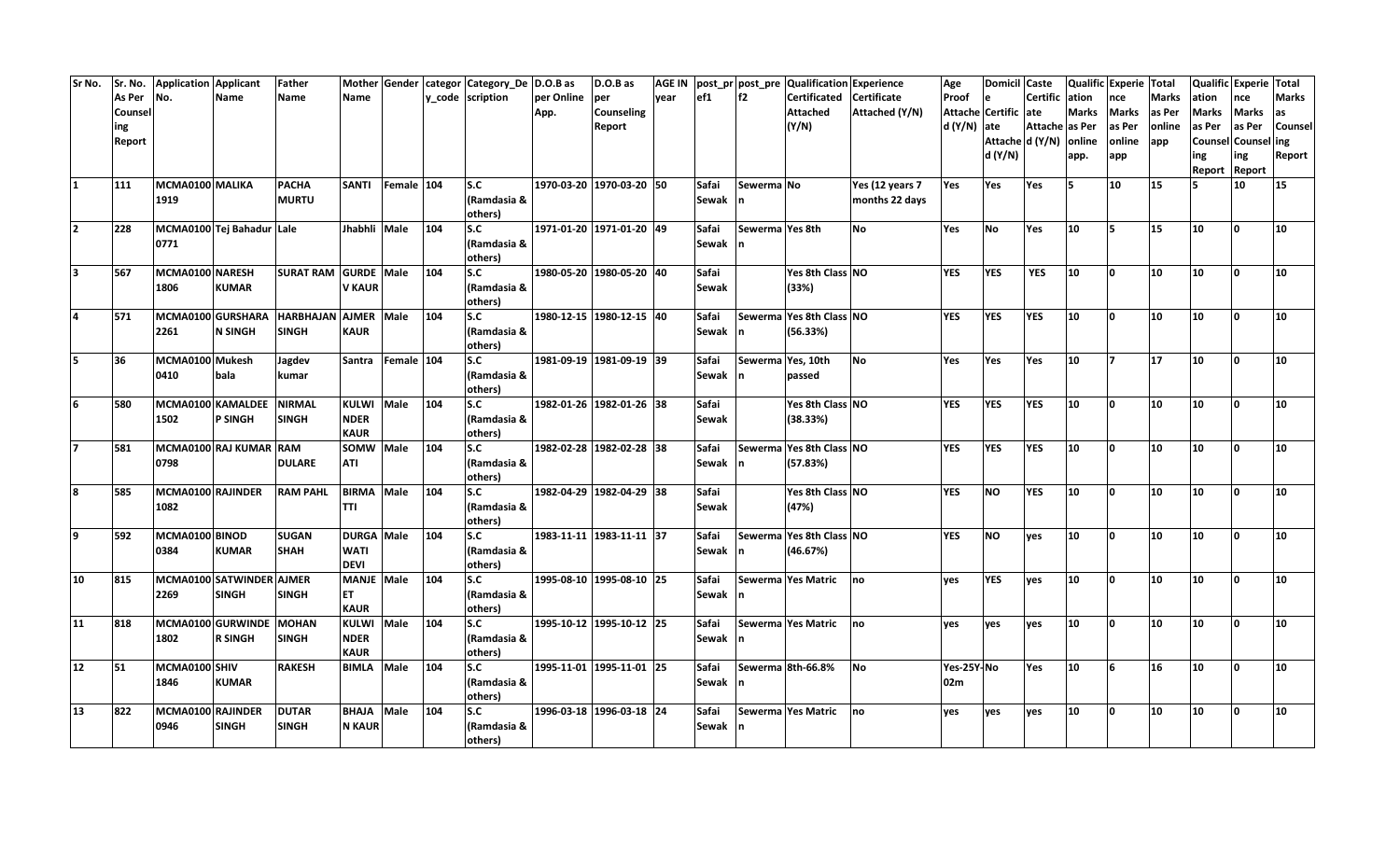| Sr No.                  | Sr. No. | Application Applicant |                           | <b>Father</b>        |                   |                   |     | Mother Gender categor Category_De D.O.B as |            | D.O.B as                 | <b>AGE IN</b> |         |                 | post_pr post_pre Qualification Experience |                    | Age          | Domicil Caste        |                 |              | Qualific Experie Total |                 |                 | Qualific Experie Total |                |
|-------------------------|---------|-----------------------|---------------------------|----------------------|-------------------|-------------------|-----|--------------------------------------------|------------|--------------------------|---------------|---------|-----------------|-------------------------------------------|--------------------|--------------|----------------------|-----------------|--------------|------------------------|-----------------|-----------------|------------------------|----------------|
|                         | As Per  | No.                   | <b>Name</b>               | <b>Name</b>          | Name              |                   |     | y code scription                           | per Online | per                      | vear          | ef1     | f2              | Certificated Certificate                  |                    | Proof        | le                   | Certific ation  |              | nce                    | <b>Marks</b>    | ation           | nce                    | <b>Marks</b>   |
|                         | Counsel |                       |                           |                      |                   |                   |     |                                            | App.       | Counseling               |               |         |                 | <b>Attached</b>                           | Attached (Y/N)     |              | Attache Certific ate |                 | <b>Marks</b> | <b>Marks</b>           | as Per          | Marks           | <b>Marks</b>           | las            |
|                         | ing     |                       |                           |                      |                   |                   |     |                                            |            | Report                   |               |         |                 | (Y/N)                                     |                    | $d(Y/N)$ ate |                      | Attache as Per  |              | as Per                 | online          | as Per          | as Per                 | <b>Counsel</b> |
|                         | Report  |                       |                           |                      |                   |                   |     |                                            |            |                          |               |         |                 |                                           |                    |              |                      | Attache d (Y/N) | online       | online                 | app             |                 | Counsel Counsel ing    |                |
|                         |         |                       |                           |                      |                   |                   |     |                                            |            |                          |               |         |                 |                                           |                    |              | d (Y/N)              |                 | app.         | app                    |                 | ing             | ing                    | Report         |
|                         |         |                       |                           |                      |                   |                   |     |                                            |            |                          |               |         |                 |                                           |                    |              |                      |                 |              |                        |                 |                 | Report Report          |                |
| 1                       | 111     | MCMA0100 MALIKA       |                           | <b>PACHA</b>         | SANTI             | Female 104        |     | <b>S.C</b>                                 |            | 1970-03-20 1970-03-20 50 |               | Safai   | Sewerma No      |                                           | Yes $(12)$ years 7 | Yes          | Yes                  | Yes             | l5           | 10                     | 15              |                 | 10                     | 15             |
|                         |         | 1919                  |                           | <b>MURTU</b>         |                   |                   |     | (Ramdasia &                                |            |                          |               | Sewak n |                 |                                           | months 22 days     |              |                      |                 |              |                        |                 |                 |                        |                |
|                         |         |                       |                           |                      |                   |                   |     | others)                                    |            |                          |               |         |                 |                                           |                    |              |                      |                 |              |                        |                 |                 |                        |                |
| $\overline{2}$          | 228     |                       | MCMA0100 Tej Bahadur Lale |                      | Jhabhli Male      |                   | 104 | S.C                                        |            | 1971-01-20 1971-01-20 49 |               | Safai   | Sewerma Yes 8th |                                           | <b>No</b>          | Yes          | <b>No</b>            | Yes             | 10           | 5                      | 15              | 10              | <b>n</b>               | 10             |
|                         |         | 0771                  |                           |                      |                   |                   |     | (Ramdasia &                                |            |                          |               | Sewak   |                 |                                           |                    |              |                      |                 |              |                        |                 |                 |                        |                |
|                         |         |                       |                           |                      |                   |                   |     | others)                                    |            |                          |               |         |                 |                                           |                    |              |                      |                 |              |                        |                 |                 |                        |                |
| $\overline{\mathbf{3}}$ | 567     | MCMA0100 NARESH       |                           | <b>SURAT RAM</b>     | <b>GURDE</b> Male |                   | 104 | S.C                                        |            | 1980-05-20 1980-05-20 40 |               | Safai   |                 | Yes 8th Class NO                          |                    | <b>YES</b>   | <b>YES</b>           | <b>YES</b>      | 10           | l N                    | 10              | 10              | 0                      | 10             |
|                         |         | 1806                  | <b>KUMAR</b>              |                      | <b>V KAUR</b>     |                   |     | (Ramdasia &                                |            |                          |               | Sewak   |                 | (33%)                                     |                    |              |                      |                 |              |                        |                 |                 |                        |                |
|                         |         |                       |                           |                      |                   |                   |     | others)                                    |            |                          |               |         |                 |                                           |                    |              |                      |                 |              |                        |                 |                 |                        |                |
|                         | 571     |                       | MCMA0100 GURSHARA         | HARBHAJAN AJMER Male |                   |                   | 104 | S.C                                        |            | 1980-12-15 1980-12-15 40 |               | Safai   |                 | Sewerma Yes 8th Class NO                  |                    | <b>YES</b>   | <b>YES</b>           | <b>YES</b>      | 10           | l n                    | 10              | 10              | ١o                     | 10             |
|                         |         | 2261                  | <b>N SINGH</b>            | <b>SINGH</b>         | <b>KAUR</b>       |                   |     | (Ramdasia &                                |            |                          |               | Sewak   |                 | (56.33%)                                  |                    |              |                      |                 |              |                        |                 |                 |                        |                |
|                         |         |                       |                           |                      |                   |                   |     | others)                                    |            |                          |               |         |                 |                                           |                    |              |                      |                 |              |                        |                 |                 |                        |                |
| 5                       | 36      | MCMA0100 Mukesh       |                           | Jagdev               |                   | Santra Female 104 |     | S.C                                        |            | 1981-09-19 1981-09-19 39 |               | Safai   |                 | Sewerma Yes, 10th                         | No                 | Yes          | Yes                  | Yes             | 10           | 17.                    | 17              | 10              | ١o                     | 10             |
|                         |         | 0410                  | bala                      | kumar                |                   |                   |     | (Ramdasia &                                |            |                          |               | Sewak   |                 | passed                                    |                    |              |                      |                 |              |                        |                 |                 |                        |                |
|                         |         |                       |                           |                      |                   |                   |     | others)                                    |            |                          |               |         |                 |                                           |                    |              |                      |                 |              |                        |                 |                 |                        |                |
| 6                       | 580     |                       | MCMA0100 KAMALDEE         | <b>NIRMAL</b>        | KULWI Male        |                   | 104 | s.c                                        |            | 1982-01-26 1982-01-26 38 |               | Safai   |                 | Yes 8th Class NO                          |                    | <b>YES</b>   | <b>YES</b>           | <b>YES</b>      | 10           | ١o                     | 10 <sup>°</sup> | 10              | ١o                     | 10             |
|                         |         | 1502                  | P SINGH                   | <b>SINGH</b>         | <b>NDER</b>       |                   |     | (Ramdasia &                                |            |                          |               | Sewak   |                 | (38.33%)                                  |                    |              |                      |                 |              |                        |                 |                 |                        |                |
|                         |         |                       |                           |                      | <b>KAUR</b>       |                   |     | others)                                    |            |                          |               |         |                 |                                           |                    |              |                      |                 |              |                        |                 |                 |                        |                |
| 17.                     | 581     |                       | MCMA0100 RAJ KUMAR RAM    |                      | SOMW Male         |                   | 104 | s.c                                        |            | 1982-02-28 1982-02-28 38 |               | Safai   |                 | Sewerma Yes 8th Class NO                  |                    | <b>YES</b>   | <b>YES</b>           | <b>YES</b>      | 10           | ١o                     | 10              | 10              | I٥                     | 10             |
|                         |         | 0798                  |                           | <b>DULARE</b>        | ATI               |                   |     | (Ramdasia &                                |            |                          |               | Sewak   |                 | (57.83%)                                  |                    |              |                      |                 |              |                        |                 |                 |                        |                |
|                         |         |                       |                           |                      |                   |                   |     | others)                                    |            |                          |               |         |                 |                                           |                    |              |                      |                 |              |                        |                 |                 |                        |                |
| 8                       | 585     | MCMA0100 RAJINDER     |                           | <b>RAM PAHL</b>      | BIRMA             | Male              | 104 | s.c                                        |            | 1982-04-29 1982-04-29 38 |               | Safai   |                 | Yes 8th Class NO                          |                    | <b>YES</b>   | <b>NO</b>            | <b>YES</b>      | 10           | <b>n</b>               | 10              | 10              | $\Omega$               | 10             |
|                         |         | 1082                  |                           |                      | <b>TTI</b>        |                   |     | (Ramdasia &                                |            |                          |               | Sewak   |                 | (47%)                                     |                    |              |                      |                 |              |                        |                 |                 |                        |                |
|                         |         |                       |                           |                      |                   |                   |     | others)                                    |            |                          |               |         |                 |                                           |                    |              |                      |                 |              |                        |                 |                 |                        |                |
| 9                       | 592     | MCMA0100 BINOD        |                           | <b>SUGAN</b>         | DURGA Male        |                   | 104 | s.c                                        |            | 1983-11-11 1983-11-11 37 |               | Safai   |                 | Sewerma Yes 8th Class NO                  |                    | <b>YES</b>   | <b>NO</b>            | yes             | 10           | l n                    | 10              | 10 <sub>1</sub> | $\Omega$               | 10             |
|                         |         | 0384                  | <b>KUMAR</b>              | <b>SHAH</b>          | <b>WATI</b>       |                   |     | (Ramdasia &                                |            |                          |               | Sewak   |                 | (46.67%)                                  |                    |              |                      |                 |              |                        |                 |                 |                        |                |
|                         |         |                       |                           |                      | <b>DEVI</b>       |                   |     | others)                                    |            |                          |               |         |                 |                                           |                    |              |                      |                 |              |                        |                 |                 |                        |                |
| 10                      | 815     |                       | MCMA0100 SATWINDER AJMER  |                      | <b>MANJE</b> Male |                   | 104 | S.C                                        |            | 1995-08-10 1995-08-10 25 |               | Safai   |                 | Sewerma Yes Matric                        | <b>Ino</b>         | ves          | <b>YES</b>           | ves             | 10           | l N                    | 10              | 10              | ١o                     | 10             |
|                         |         | 2269                  | <b>SINGH</b>              | <b>SINGH</b>         | ET.               |                   |     | (Ramdasia &                                |            |                          |               | Sewak n |                 |                                           |                    |              |                      |                 |              |                        |                 |                 |                        |                |
|                         |         |                       |                           |                      | <b>KAUR</b>       |                   |     | others)                                    |            |                          |               |         |                 |                                           |                    |              |                      |                 |              |                        |                 |                 |                        |                |
| 11                      | 818     |                       | MCMA0100 GURWINDE MOHAN   |                      | KULWI Male        |                   | 104 | S.C                                        |            | 1995-10-12 1995-10-12 25 |               | Safai   |                 | Sewerma Yes Matric                        | <b>Ino</b>         | ves          | ves                  | yes             | 10           | n                      | 10              | 10              | ١o                     | 10             |
|                         |         | 1802                  | <b>R SINGH</b>            | <b>SINGH</b>         | <b>NDER</b>       |                   |     | (Ramdasia &                                |            |                          |               | Sewak   |                 |                                           |                    |              |                      |                 |              |                        |                 |                 |                        |                |
|                         |         |                       |                           |                      | <b>KAUR</b>       |                   |     | others)                                    |            |                          |               |         |                 |                                           |                    |              |                      |                 |              |                        |                 |                 |                        |                |
|                         |         |                       |                           |                      |                   |                   |     |                                            |            |                          |               |         |                 |                                           |                    |              |                      |                 | 10           | 6                      | 16 <sup>1</sup> |                 | ١o                     | 10             |
| 12                      | 51      | MCMA0100 SHIV         |                           | <b>RAKESH</b>        | <b>BIMLA</b> Male |                   | 104 | s.c                                        |            | 1995-11-01 1995-11-01 25 |               | Safai   |                 | Sewerma 8th-66.8%                         | No                 | Yes-25Y-No   |                      | Yes             |              |                        |                 | 10 <sub>1</sub> |                        |                |
|                         |         | 1846                  | <b>KUMAR</b>              |                      |                   |                   |     | (Ramdasia &                                |            |                          |               | Sewak n |                 |                                           |                    | 02m          |                      |                 |              |                        |                 |                 |                        |                |
|                         |         |                       |                           |                      |                   |                   |     | others)                                    |            |                          |               |         |                 |                                           |                    |              |                      |                 |              |                        |                 |                 |                        |                |
| 13                      | 822     | MCMA0100 RAJINDER     |                           | <b>DUTAR</b>         | BHAJA Male        |                   | 104 | s.c                                        |            | 1996-03-18 1996-03-18 24 |               | Safai   |                 | Sewerma Yes Matric                        | <b>Ino</b>         | yes          | ves                  | ves             | 10           | <b>O</b>               | 10              | 10              | 0                      | 10             |
|                         |         | 0946                  | <b>SINGH</b>              | <b>SINGH</b>         | <b>N KAUR</b>     |                   |     | (Ramdasia &                                |            |                          |               | Sewak n |                 |                                           |                    |              |                      |                 |              |                        |                 |                 |                        |                |
|                         |         |                       |                           |                      |                   |                   |     | others)                                    |            |                          |               |         |                 |                                           |                    |              |                      |                 |              |                        |                 |                 |                        |                |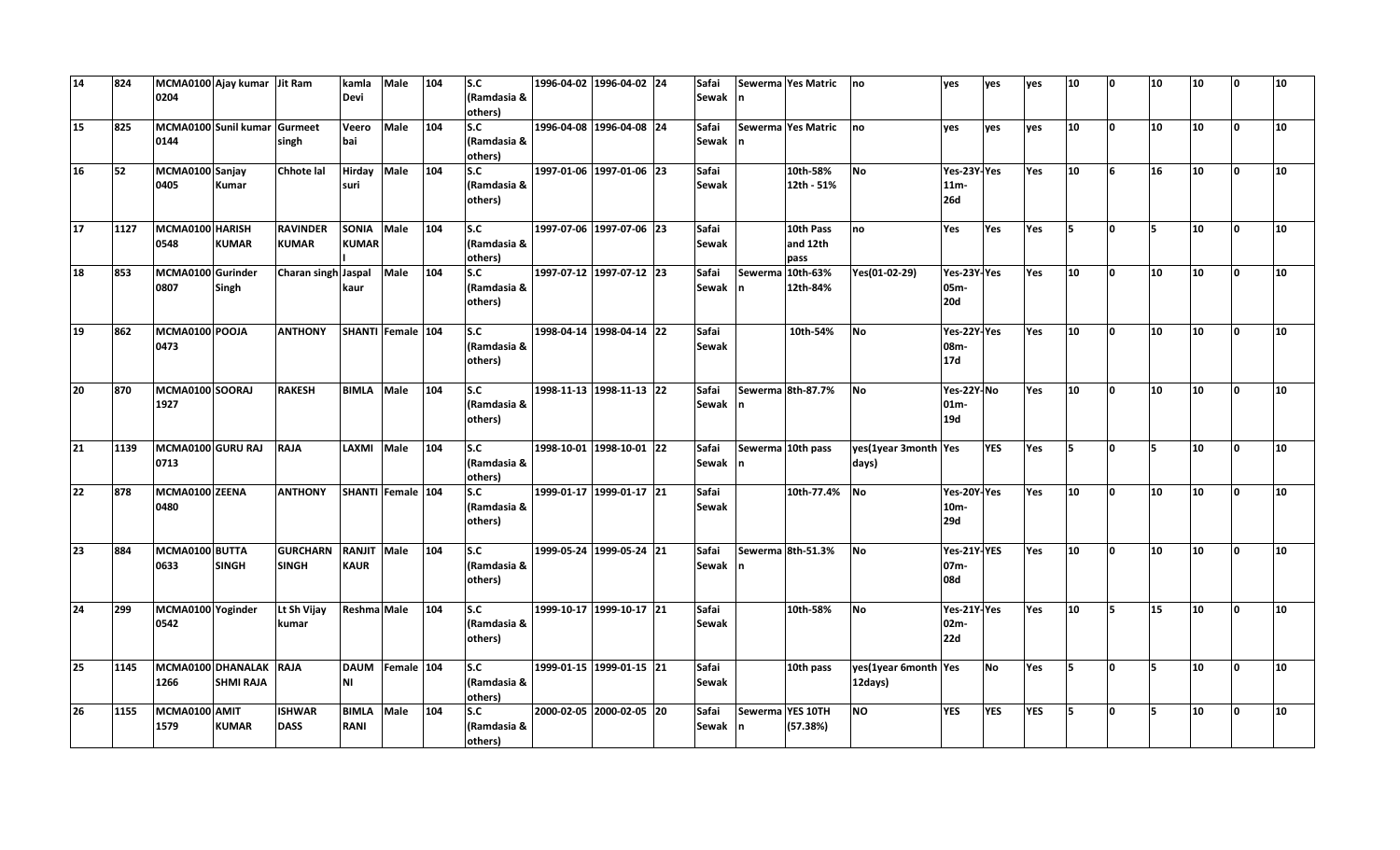| 14              | 824  | 0204                      | MCMA0100 Ajay kumar Jit Ram                |                                 | kamla<br><b>Devi</b>              | Male              | 104 | s.c<br>(Ramdasia &<br>others)               | 1996-04-02 1996-04-02 24 | Safai<br>Sewak n      |                  | Sewerma Yes Matric            | no                              | yes                                  | ves        | yes | 10  | ١o       | 10  | 10 | ١o | 10 |
|-----------------|------|---------------------------|--------------------------------------------|---------------------------------|-----------------------------------|-------------------|-----|---------------------------------------------|--------------------------|-----------------------|------------------|-------------------------------|---------------------------------|--------------------------------------|------------|-----|-----|----------|-----|----|----|----|
| 15              | 825  | 0144                      | MCMA0100 Sunil kumar Gurmeet               | singh                           | Veero<br>bai                      | Male              | 104 | S.C<br>(Ramdasia &<br>others)               | 1996-04-08 1996-04-08 24 | Safai<br>Sewak n      |                  | Sewerma Yes Matric no         |                                 | ves                                  | ves        | ves | 10  | ١o       | 10  | 10 | I٥ | 10 |
| 16              | 52   | MCMA0100 Sanjay<br>0405   | <b>Kumar</b>                               | <b>Chhote lal</b>               | <b>Hirday</b><br>suri             | Male              | 104 | s.c<br>(Ramdasia &<br>others)               | 1997-01-06 1997-01-06 23 | Safai<br>Sewak        |                  | 10th-58%<br>12th - 51%        | <b>No</b>                       | Yes-23Y-Yes<br>$11m -$<br><b>26d</b> |            | Yes | 10  | 6        | 16  | 10 | ١o | 10 |
| 17              | 1127 | MCMA0100 HARISH<br>0548   | <b>KUMAR</b>                               | <b>RAVINDER</b><br><b>KUMAR</b> | <b>SONIA</b><br><b>KUMAR</b>      | Male              | 104 | S.C<br>(Ramdasia &<br>others)               | 1997-07-06 1997-07-06 23 | Safai<br>Sewak        |                  | 10th Pass<br>and 12th<br>pass | no                              | Yes                                  | Yes        | Yes | l5. | I٥       | l5  | 10 | ١o | 10 |
| 18              | 853  | MCMA0100 Gurinder<br>0807 | Singh                                      | Charan singh Jaspal             | kaur                              | Male              | 104 | S.C<br>(Ramdasia &<br>others)               | 1997-07-12 1997-07-12 23 | Safai<br>Sewak n      | Sewerma 10th-63% | 12th-84%                      | Yes(01-02-29)                   | Yes-23Y-Yes<br>05m-<br><b>20d</b>    |            | Yes | 10  | ١o       | 10  | 10 | I٥ | 10 |
| 19              | 862  | MCMA0100 POOJA<br>0473    |                                            | <b>ANTHONY</b>                  | SHANTI Female 104                 |                   |     | S.C <sub>om</sub><br>(Ramdasia &<br>others) | 1998-04-14 1998-04-14 22 | Safai<br><b>Sewak</b> |                  | 10th-54%                      | No                              | Yes-22Y-Yes<br>08m-<br>17d           |            | Yes | 10  | $\Omega$ | 10  | 10 | ١o | 10 |
| 20              | 870  | MCMA0100 SOORAJ<br>1927   |                                            | <b>RAKESH</b>                   | <b>BIMLA</b>                      | Male              | 104 | S.C<br>(Ramdasia &<br>others)               | 1998-11-13 1998-11-13 22 | Safai<br>Sewak n      |                  | Sewerma 8th-87.7%             | <b>No</b>                       | Yes-22Y-No<br>$01m -$<br>19d         |            | Yes | 10  | ١o       | 10  | 10 | ١o | 10 |
| $\overline{21}$ | 1139 | MCMA0100 GURU RAJ<br>0713 |                                            | <b>RAJA</b>                     | LAXMI Male                        |                   | 104 | s.c<br>(Ramdasia &<br>others)               | 1998-10-01 1998-10-01 22 | Safai<br>Sewak n      |                  | Sewerma 10th pass             | yes(1year 3month Yes<br>days)   |                                      | <b>YES</b> | Yes | ls. | I٥       | l5. | 10 | ١o | 10 |
| 22              | 878  | MCMA0100 ZEENA<br>0480    |                                            | <b>ANTHONY</b>                  |                                   | SHANTI Female 104 |     | S.C<br>(Ramdasia &<br>others)               | 1999-01-17 1999-01-17 21 | Safai<br>Sewak        |                  | 10th-77.4% No                 |                                 | Yes-20Y-Yes<br>10m-<br>29d           |            | Yes | 10  | <b>O</b> | 10  | 10 | ١o | 10 |
| 23              | 884  | MCMA0100 BUTTA<br>0633    | <b>SINGH</b>                               | <b>GURCHARN</b><br><b>SINGH</b> | <b>RANJIT Male</b><br><b>KAUR</b> |                   | 104 | S.C<br>(Ramdasia &<br>others)               | 1999-05-24 1999-05-24 21 | Safai<br>Sewak n      |                  | Sewerma 8th-51.3%             | <b>No</b>                       | Yes-21Y-YES<br>07m-<br>08d           |            | Yes | 10  | ١o       | 10  | 10 | ١o | 10 |
| 24              | 299  | MCMA0100 Yoginder<br>0542 |                                            | Lt Sh Vijay<br>kumar            | Reshma Male                       |                   | 104 | S.C<br>(Ramdasia &<br>others)               | 1999-10-17 1999-10-17 21 | Safai<br>Sewak        |                  | 10th-58%                      | <b>No</b>                       | Yes-21Y-Yes<br>02m-<br>22d           |            | Yes | 10  | İ5.      | 15  | 10 | ١o | 10 |
| 25              | 1145 | 1266                      | MCMA0100 DHANALAK RAJA<br><b>SHMI RAJA</b> |                                 | <b>NI</b>                         | DAUM Female 104   |     | S.C<br>(Ramdasia &<br>others)               | 1999-01-15 1999-01-15 21 | Safai<br>Sewak        |                  | 10th pass                     | yes(1year 6month Yes<br>12days) |                                      | <b>No</b>  | Yes | Is. | I٥       | l5  | 10 | I٥ | 10 |
| 26              | 1155 | MCMA0100 AMIT<br>1579     | <b>KUMAR</b>                               | <b>ISHWAR</b><br><b>DASS</b>    | <b>BIMLA</b> Male<br><b>RANI</b>  |                   | 104 | S.C<br>(Ramdasia &<br>others)               | 2000-02-05 2000-02-05 20 | Safai<br>Sewak In     | Sewerma YES 10TH | (57.38%)                      | N                               | <b>YES</b>                           | <b>YES</b> | YES | 15. | l n      | l5  | 10 | 0  | 10 |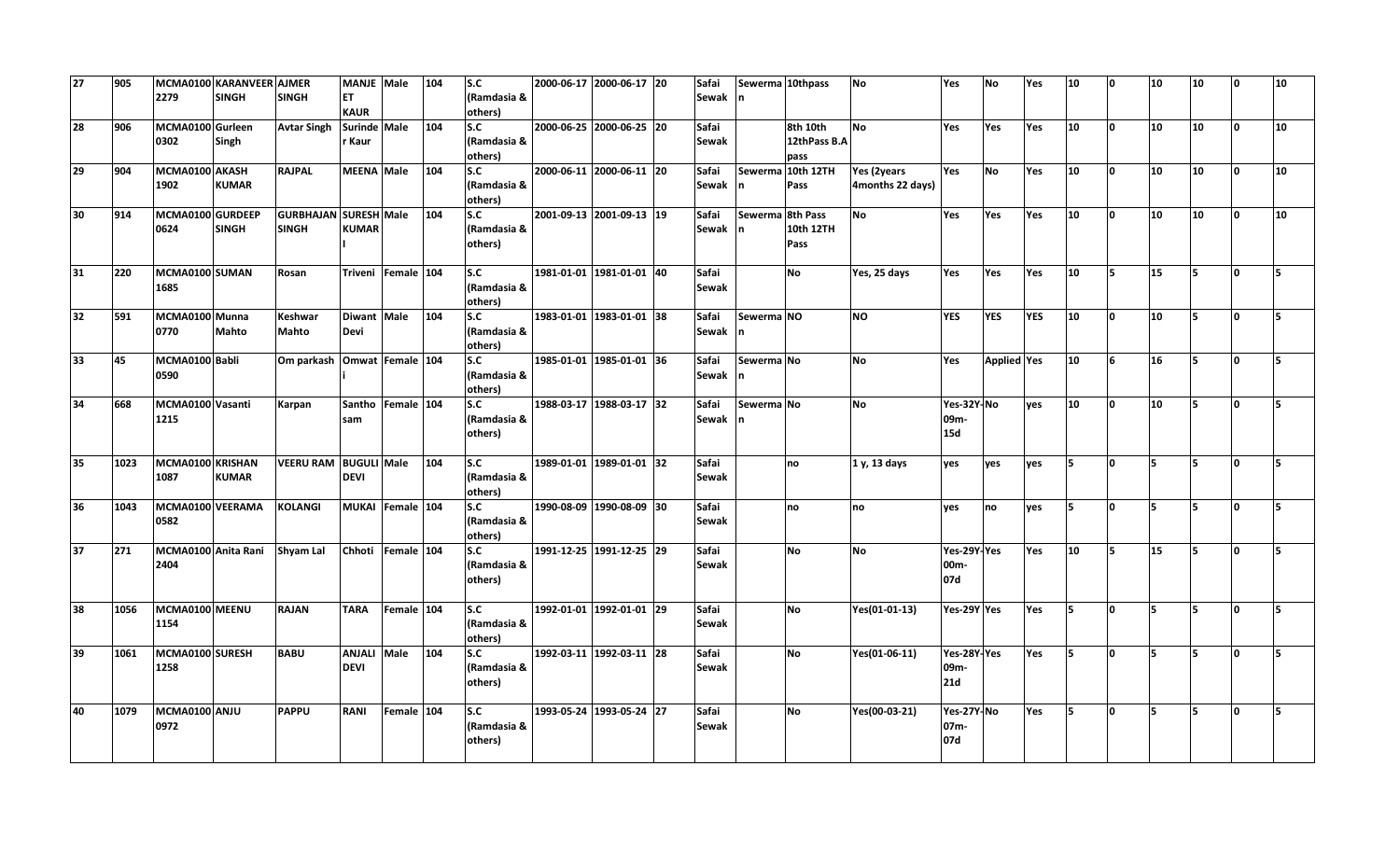| 27 | 905  | 2279                     | MCMA0100 KARANVEER AJMER<br><b>SINGH</b> | <b>SINGH</b>                          | <b>MANJE Male</b><br><b>ET</b>    |                    | 104 | $\overline{\mathsf{S}.c}$<br>(Ramdasia & | 2000-06-17 2000-06-17 20 | Safai<br>Sewak n      |                  | Sewerma 10thpass                 | No                              | Yes                                     | <b>No</b>   | Yes        | 10              | n            | 10  | 10  | <sup>n</sup> | 10  |
|----|------|--------------------------|------------------------------------------|---------------------------------------|-----------------------------------|--------------------|-----|------------------------------------------|--------------------------|-----------------------|------------------|----------------------------------|---------------------------------|-----------------------------------------|-------------|------------|-----------------|--------------|-----|-----|--------------|-----|
|    |      |                          |                                          |                                       | <b>KAUR</b>                       |                    |     | others)                                  |                          |                       |                  |                                  |                                 |                                         |             |            |                 |              |     |     |              |     |
| 28 | 906  | MCMA0100 Gurleen<br>0302 | Singh                                    | <b>Avtar Singh</b>                    | Surinde Male<br>r Kaur            |                    | 104 | S.C<br>(Ramdasia &<br>others)            | 2000-06-25 2000-06-25 20 | Safai<br>Sewak        |                  | 8th 10th<br>12thPass B.A<br>pass | N <sub>o</sub>                  | Yes                                     | Yes         | Yes        | 10              | O            | 10  | 10  | I٥           | 10  |
| 29 | 904  | MCMA0100 AKASH<br>1902   | <b>KUMAR</b>                             | <b>RAJPAL</b>                         | MEENA Male                        |                    | 104 | S.C<br>(Ramdasia &<br>others)            | 2000-06-11 2000-06-11 20 | Safai<br>Sewak n      |                  | Sewerma 10th 12TH<br>Pass        | Yes (2years<br>4months 22 days) | Yes                                     | <b>No</b>   | Yes        | 10              | <sup>o</sup> | 10  | 10  | n.           | 10  |
| 30 | 914  | MCMA0100 GURDEEP<br>0624 | <b>SINGH</b>                             | GURBHAJAN SURESH Male<br><b>SINGH</b> | <b>KUMAR</b>                      |                    | 104 | S.C<br>(Ramdasia &<br>others)            | 2001-09-13 2001-09-13 19 | Safai<br>Sewak n      | Sewerma 8th Pass | 10th 12TH<br>Pass                | <b>No</b>                       | Yes                                     | Yes         | Yes        | 10              | O            | 10  | 10  | <sup>o</sup> | 10  |
| 31 | 220  | MCMA0100 SUMAN<br>1685   |                                          | Rosan                                 |                                   | Triveni Female 104 |     | s.c <br>(Ramdasia &<br>others)           | 1981-01-01 1981-01-01 40 | Safai<br>Sewak        |                  | <b>No</b>                        | Yes, 25 days                    | Yes                                     | Yes         | Yes        | 10 <sup>1</sup> | 5            | 15  | 5   | I٥           | Б   |
| 32 | 591  | MCMA0100 Munna<br>0770   | <b>Mahto</b>                             | Keshwar<br><b>Mahto</b>               | Diwant Male<br>Devi               |                    | 104 | S.C<br>(Ramdasia &<br>others)            | 1983-01-01 1983-01-01 38 | Safai<br>Sewak n      | Sewerma NO       |                                  | <b>NO</b>                       | <b>YES</b>                              | <b>YES</b>  | <b>YES</b> | 10              | l0.          | 10  | l5  | n.           |     |
| 33 | 45   | MCMA0100 Babli<br>0590   |                                          | Om parkash Omwat Female 104           |                                   |                    |     | S.C<br>(Ramdasia &<br>others)            | 1985-01-01 1985-01-01 36 | Safai<br>Sewak n      | Sewerma No       |                                  | <b>No</b>                       | Yes                                     | Applied Yes |            | 10              | 6            | 16  | 15. | $\Omega$     | Б.  |
| 34 | 668  | MCMA0100 Vasanti<br>1215 |                                          | Karpan                                | sam                               | Santho Female 104  |     | S.C<br>(Ramdasia &<br>others)            | 1988-03-17 1988-03-17 32 | Safai<br>Sewak n      | Sewerma No       |                                  | <b>No</b>                       | Yes-32Y-No<br>09m-<br><b>15d</b>        |             | ves        | 10 <sub>1</sub> | <sup>o</sup> | 10  | l5  | n.           |     |
| 35 | 1023 | MCMA0100 KRISHAN<br>1087 | <b>KUMAR</b>                             | VEERU RAM BUGULI Male                 | <b>DEVI</b>                       |                    | 104 | S.C<br>(Ramdasia &<br>others)            | 1989-01-01 1989-01-01 32 | Safai<br>Sewak        |                  | no                               | 1 y, 13 days                    | ves                                     | ves         | ves        | İ5.             | O            | l5. | 5   | $\Omega$     | 5   |
| 36 | 1043 | MCMA0100 VEERAMA<br>0582 |                                          | <b>KOLANGI</b>                        |                                   | MUKAI Female 104   |     | S.C<br>(Ramdasia &<br>others)            | 1990-08-09 1990-08-09 30 | Safai<br>Sewak        |                  | no                               | no                              | ves                                     | no          | ves        | İ5.             | O            | 5   | 5   | n.           |     |
| 37 | 271  | 2404                     | MCMA0100 Anita Rani Shyam Lal            |                                       | Chhoti Female 104                 |                    |     | S.C<br>(Ramdasia &<br>others)            | 1991-12-25 1991-12-25 29 | Safai<br>Sewak        |                  | <b>No</b>                        | <b>No</b>                       | Yes-29Y-Yes<br>00m-<br>07d              |             | Yes        | 10              | 5            | 15  | 5   | <sup>o</sup> |     |
| 38 | 1056 | MCMA0100 MEENU<br>1154   |                                          | <b>RAJAN</b>                          | <b>TARA</b>                       | Female 104         |     | S.C<br>(Ramdasia &<br>others)            | 1992-01-01 1992-01-01 29 | Safai<br><b>Sewak</b> |                  | <b>No</b>                        | Yes(01-01-13)                   | Yes-29Y Yes                             |             | Yes        | 15.             | l0.          | ls. | 5   | lo.          | 5   |
| 39 | 1061 | MCMA0100 SURESH<br>1258  |                                          | <b>BABU</b>                           | <b>ANJALI Male</b><br><b>DEVI</b> |                    | 104 | s.c<br>(Ramdasia &<br>others)            | 1992-03-11 1992-03-11 28 | Safai<br><b>Sewak</b> |                  | <b>No</b>                        | Yes(01-06-11)                   | Yes-28Y-Yes<br>09 <sub>m</sub> -<br>21d |             | Yes        | ls.             | n.           | 5   | 5   | n            |     |
| 40 | 1079 | MCMA0100 ANJU<br>0972    |                                          | <b>PAPPU</b>                          | <b>RANI</b>                       | Female 104         |     | S.C<br>(Ramdasia &<br>others)            | 1993-05-24 1993-05-24 27 | Safai<br>Sewak        |                  | <b>No</b>                        | Yes(00-03-21)                   | Yes-27Y-No<br>07m-<br>07d               |             | Yes        | 15              | O            | 5   | 5   | I٥           | ls. |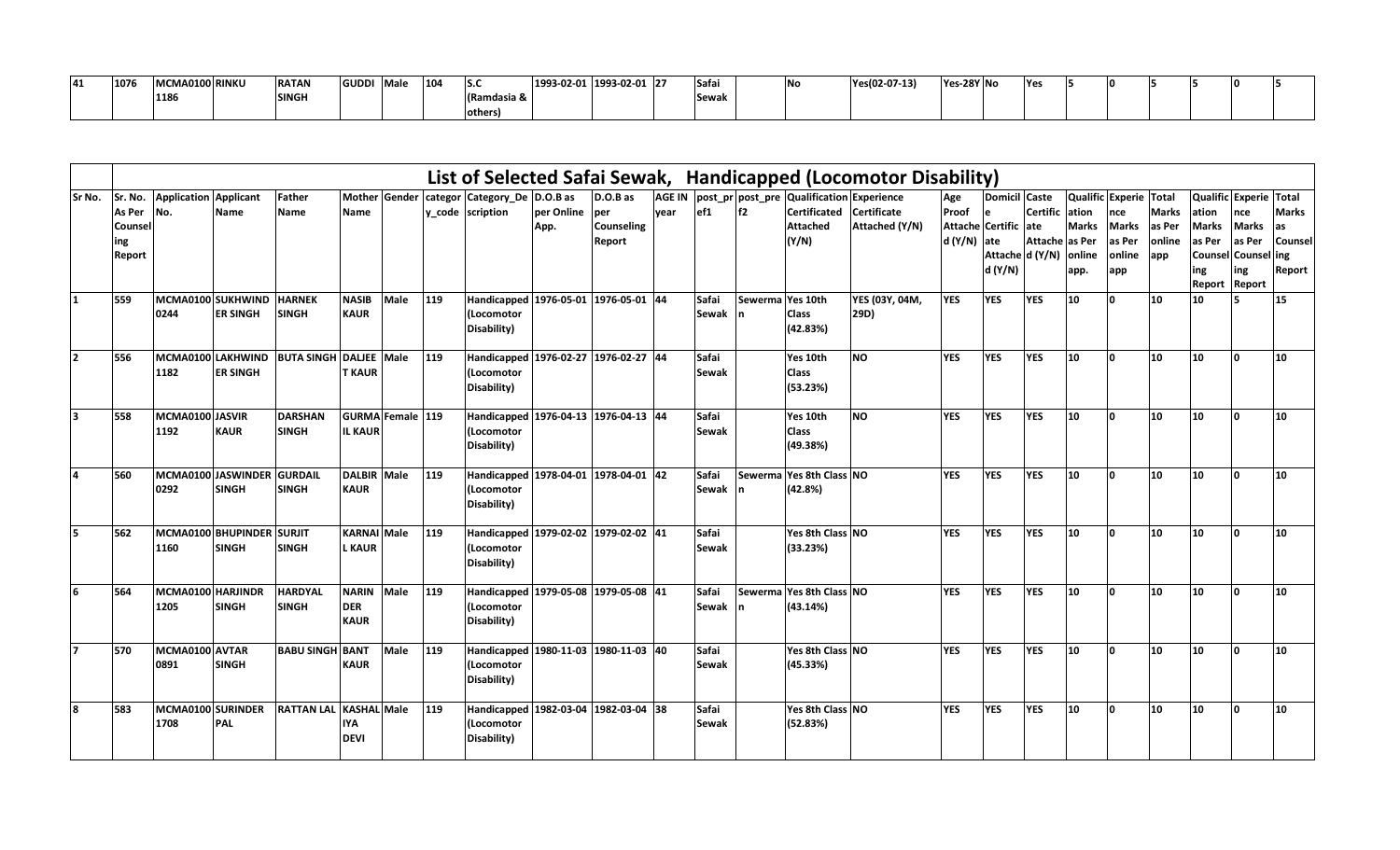| .<br>. . | 1076 | MCMA0100 RINKU | <b>RATAN</b> | <b>GUDD</b> | <b>Male</b> | 104 | . .<br>15.C | 1993-02-01 1993-02-01 27 | Safa                  | <b>INc</b> | Yes(02-07-13) | Yes-28Y No | -lYe |  |  |  |
|----------|------|----------------|--------------|-------------|-------------|-----|-------------|--------------------------|-----------------------|------------|---------------|------------|------|--|--|--|
|          |      | 118            | <b>SINGH</b> |             |             |     | dasia       |                          | Coner<br><b>Scwar</b> |            |               |            |      |  |  |  |
|          |      |                |              |             |             |     | 190116131   |                          |                       |            |               |            |      |  |  |  |

|                |               |                              |                           |                   |                    |                         |     |                                      |            |            |      |              |                  |                                                  | List of Selected Safai Sewak, Handicapped (Locomotor Disability) |              |                      |                 |              |                        |                  |                        |              |              |
|----------------|---------------|------------------------------|---------------------------|-------------------|--------------------|-------------------------|-----|--------------------------------------|------------|------------|------|--------------|------------------|--------------------------------------------------|------------------------------------------------------------------|--------------|----------------------|-----------------|--------------|------------------------|------------------|------------------------|--------------|--------------|
| Sr No.         | Sr. No.       | <b>Application Applicant</b> |                           | <b>Father</b>     |                    | <b>Mother Gender</b>    |     | categor Category_De D.O.B as         |            | D.O.B as   |      |              |                  | AGE IN post_pr post_pre Qualification Experience |                                                                  | Age          | Domicil Caste        |                 |              | Qualific Experie Total |                  | Qualific Experie Total |              |              |
|                | As Per        | No.                          | <b>Name</b>               | <b>Name</b>       | Name               |                         |     | y_code scription                     | per Online | per        | vear | ef1          | f2               | Certificated Certificate                         |                                                                  | Proof        | le                   | Certific ation  |              | nce                    | <b>Marks</b>     | ation                  | nce          | <b>Marks</b> |
|                | Counsel       |                              |                           |                   |                    |                         |     |                                      | App.       | Counseling |      |              |                  | <b>Attached</b>                                  | Attached (Y/N)                                                   |              | Attache Certific ate |                 | <b>Marks</b> | <b>Marks</b>           | as Per           | <b>Marks</b>           | <b>Marks</b> | as           |
|                | ing           |                              |                           |                   |                    |                         |     |                                      |            | Report     |      |              |                  | (Y/N)                                            |                                                                  | $d(Y/N)$ ate |                      | Attache as Per  |              | as Per                 | <b>online</b>    | as Per                 | as Per       | Counsel      |
|                | <b>Report</b> |                              |                           |                   |                    |                         |     |                                      |            |            |      |              |                  |                                                  |                                                                  |              |                      | Attache d (Y/N) | online       | online                 | app              | Counsel                | Counsel ing  |              |
|                |               |                              |                           |                   |                    |                         |     |                                      |            |            |      |              |                  |                                                  |                                                                  |              | d (Y/N)              |                 | app.         | app                    |                  | ing                    | ing          | Report       |
|                |               |                              |                           |                   |                    |                         |     |                                      |            |            |      |              |                  |                                                  |                                                                  |              |                      |                 |              |                        |                  | <b>Report</b>          | Report       |              |
| 11             | 559           | MCMA0100 SUKHWIND            |                           | <b>HARNEK</b>     | <b>NASIB</b>       | Male                    | 119 | Handicapped 1976-05-01 1976-05-01 44 |            |            |      | Safai        | Sewerma Yes 10th |                                                  | YES (03Y, 04M,                                                   | <b>YES</b>   | <b>YES</b>           | <b>YES</b>      | 10           | n                      | 10               | 10                     |              | 15           |
|                |               | 0244                         | <b>ER SINGH</b>           | <b>SINGH</b>      | <b>KAUR</b>        |                         |     | (Locomotor                           |            |            |      | <b>Sewak</b> |                  | <b>Class</b>                                     | 29D)                                                             |              |                      |                 |              |                        |                  |                        |              |              |
|                |               |                              |                           |                   |                    |                         |     | Disability)                          |            |            |      |              |                  | (42.83%)                                         |                                                                  |              |                      |                 |              |                        |                  |                        |              |              |
|                |               |                              |                           |                   |                    |                         |     |                                      |            |            |      |              |                  |                                                  |                                                                  |              |                      |                 |              |                        |                  |                        |              |              |
| $\overline{2}$ | 556           | MCMA0100 LAKHWIND            |                           | <b>BUTA SINGH</b> | <b>DALJEE</b> Male |                         | 119 | Handicapped 1976-02-27 1976-02-27 44 |            |            |      | Safai        |                  | Yes 10th                                         | <b>NO</b>                                                        | <b>YES</b>   | <b>YES</b>           | <b>YES</b>      | 10           | n                      | 10               | 10                     | 'n           | 10           |
|                |               | 1182                         | <b>ER SINGH</b>           |                   | <b>T KAUR</b>      |                         |     | (Locomotor                           |            |            |      | <b>Sewak</b> |                  | <b>Class</b>                                     |                                                                  |              |                      |                 |              |                        |                  |                        |              |              |
|                |               |                              |                           |                   |                    |                         |     | Disability)                          |            |            |      |              |                  | (53.23%)                                         |                                                                  |              |                      |                 |              |                        |                  |                        |              |              |
|                |               |                              |                           |                   |                    |                         |     |                                      |            |            |      |              |                  |                                                  |                                                                  |              |                      |                 |              |                        |                  |                        |              |              |
| 3              | 558           | MCMA0100 JASVIR              |                           | <b>DARSHAN</b>    |                    | <b>GURMA Female 119</b> |     | Handicapped 1976-04-13 1976-04-13 44 |            |            |      | Safai        |                  | Yes 10th                                         | <b>NO</b>                                                        | <b>YES</b>   | <b>YES</b>           | <b>YES</b>      | 10           | ١n                     | $ 10\rangle$     | 10                     | l n          | 10           |
|                |               | 1192                         | <b>KAUR</b>               | <b>SINGH</b>      | <b>IL KAUR</b>     |                         |     | (Locomotor                           |            |            |      | Sewak        |                  | <b>Class</b>                                     |                                                                  |              |                      |                 |              |                        |                  |                        |              |              |
|                |               |                              |                           |                   |                    |                         |     | Disability)                          |            |            |      |              |                  | (49.38%)                                         |                                                                  |              |                      |                 |              |                        |                  |                        |              |              |
|                |               |                              |                           |                   |                    |                         |     |                                      |            |            |      |              |                  |                                                  |                                                                  |              |                      |                 |              |                        |                  |                        |              |              |
| $\overline{a}$ | 560           |                              | MCMA0100 JASWINDER        | <b>GURDAIL</b>    | <b>DALBIR Male</b> |                         | 119 | Handicapped 1978-04-01 1978-04-01 42 |            |            |      | Safai        | <b>Sewerm</b>    | Yes 8th Class NO                                 |                                                                  | <b>YES</b>   | <b>YES</b>           | <b>YES</b>      | 10           | n                      | 10               | 10                     | I∩           | 10           |
|                |               | 0292                         | <b>SINGH</b>              | <b>SINGH</b>      | <b>KAUR</b>        |                         |     | (Locomotor                           |            |            |      | Sewak        |                  | (42.8%)                                          |                                                                  |              |                      |                 |              |                        |                  |                        |              |              |
|                |               |                              |                           |                   |                    |                         |     | Disability)                          |            |            |      |              |                  |                                                  |                                                                  |              |                      |                 |              |                        |                  |                        |              |              |
|                |               |                              |                           |                   |                    |                         |     |                                      |            |            |      |              |                  |                                                  |                                                                  |              |                      |                 |              |                        |                  |                        |              |              |
| 5              | 562           |                              | MCMA0100 BHUPINDER SURJIT |                   | <b>KARNAI</b> Male |                         | 119 | Handicapped 1979-02-02 1979-02-02 41 |            |            |      | Safai        |                  | Yes 8th Class NO                                 |                                                                  | <b>YES</b>   | <b>YES</b>           | <b>YES</b>      | 10           | n                      | 10               | 10                     | I۵           | 10           |
|                |               | 1160                         | <b>SINGH</b>              | SINGH             | <b>L KAUR</b>      |                         |     | (Locomotor                           |            |            |      | <b>Sewak</b> |                  | (33.23%)                                         |                                                                  |              |                      |                 |              |                        |                  |                        |              |              |
|                |               |                              |                           |                   |                    |                         |     | Disability)                          |            |            |      |              |                  |                                                  |                                                                  |              |                      |                 |              |                        |                  |                        |              |              |
|                |               |                              |                           |                   |                    |                         |     |                                      |            |            |      |              |                  |                                                  |                                                                  |              |                      |                 |              |                        |                  |                        |              |              |
| 6              | 564           | MCMA0100 HARJINDR            |                           | <b>HARDYAL</b>    | <b>NARIN</b>       | Male                    | 119 | Handicapped 1979-05-08 1979-05-08 41 |            |            |      | Safai        |                  | Sewerma Yes 8th Class NO                         |                                                                  | <b>YES</b>   | <b>YES</b>           | <b>YES</b>      | 10           | n                      | 10 <sub>10</sub> | $ 10\rangle$           | n.           | 10           |
|                |               | 1205                         | <b>SINGH</b>              | <b>SINGH</b>      | <b>DER</b>         |                         |     | (Locomotor                           |            |            |      | Sewak n      |                  | (43.14%)                                         |                                                                  |              |                      |                 |              |                        |                  |                        |              |              |
|                |               |                              |                           |                   | <b>KAUR</b>        |                         |     | Disability)                          |            |            |      |              |                  |                                                  |                                                                  |              |                      |                 |              |                        |                  |                        |              |              |
|                |               |                              |                           |                   |                    |                         |     |                                      |            |            |      |              |                  |                                                  |                                                                  |              |                      |                 |              |                        |                  |                        |              |              |
|                | 570           | MCMA0100 AVTAR               |                           | <b>BABU SINGH</b> | <b>BANT</b>        | Male                    | 119 | Handicapped 1980-11-03 1980-11-03 40 |            |            |      | Safai        |                  | Yes 8th Class NO                                 |                                                                  | <b>YES</b>   | <b>YES</b>           | <b>YES</b>      | 10           | ۱n                     | 10               | 10                     | l n          | 10           |
|                |               | 0891                         | <b>SINGH</b>              |                   | <b>KAUR</b>        |                         |     | (Locomotor                           |            |            |      | Sewak        |                  | (45.33%)                                         |                                                                  |              |                      |                 |              |                        |                  |                        |              |              |
|                |               |                              |                           |                   |                    |                         |     | Disability)                          |            |            |      |              |                  |                                                  |                                                                  |              |                      |                 |              |                        |                  |                        |              |              |
|                |               |                              |                           |                   |                    |                         |     |                                      |            |            |      |              |                  |                                                  |                                                                  |              |                      |                 |              |                        |                  |                        |              |              |
| 8              | 583           | MCMA0100 SURINDER            |                           | <b>RATTAN LAL</b> | <b>KASHAL</b> Male |                         | 119 | Handicapped 1982-03-04 1982-03-04 38 |            |            |      | Safai        |                  | Yes 8th Class NO                                 |                                                                  | <b>YES</b>   | <b>YES</b>           | <b>YES</b>      | 10           | ۱n                     | 10               | 10                     | l n          | 10           |
|                |               | 1708                         | <b>PAL</b>                |                   | <b>IYA</b>         |                         |     | (Locomotor                           |            |            |      | <b>Sewak</b> |                  | (52.83%)                                         |                                                                  |              |                      |                 |              |                        |                  |                        |              |              |
|                |               |                              |                           |                   | <b>DEVI</b>        |                         |     | Disability)                          |            |            |      |              |                  |                                                  |                                                                  |              |                      |                 |              |                        |                  |                        |              |              |
|                |               |                              |                           |                   |                    |                         |     |                                      |            |            |      |              |                  |                                                  |                                                                  |              |                      |                 |              |                        |                  |                        |              |              |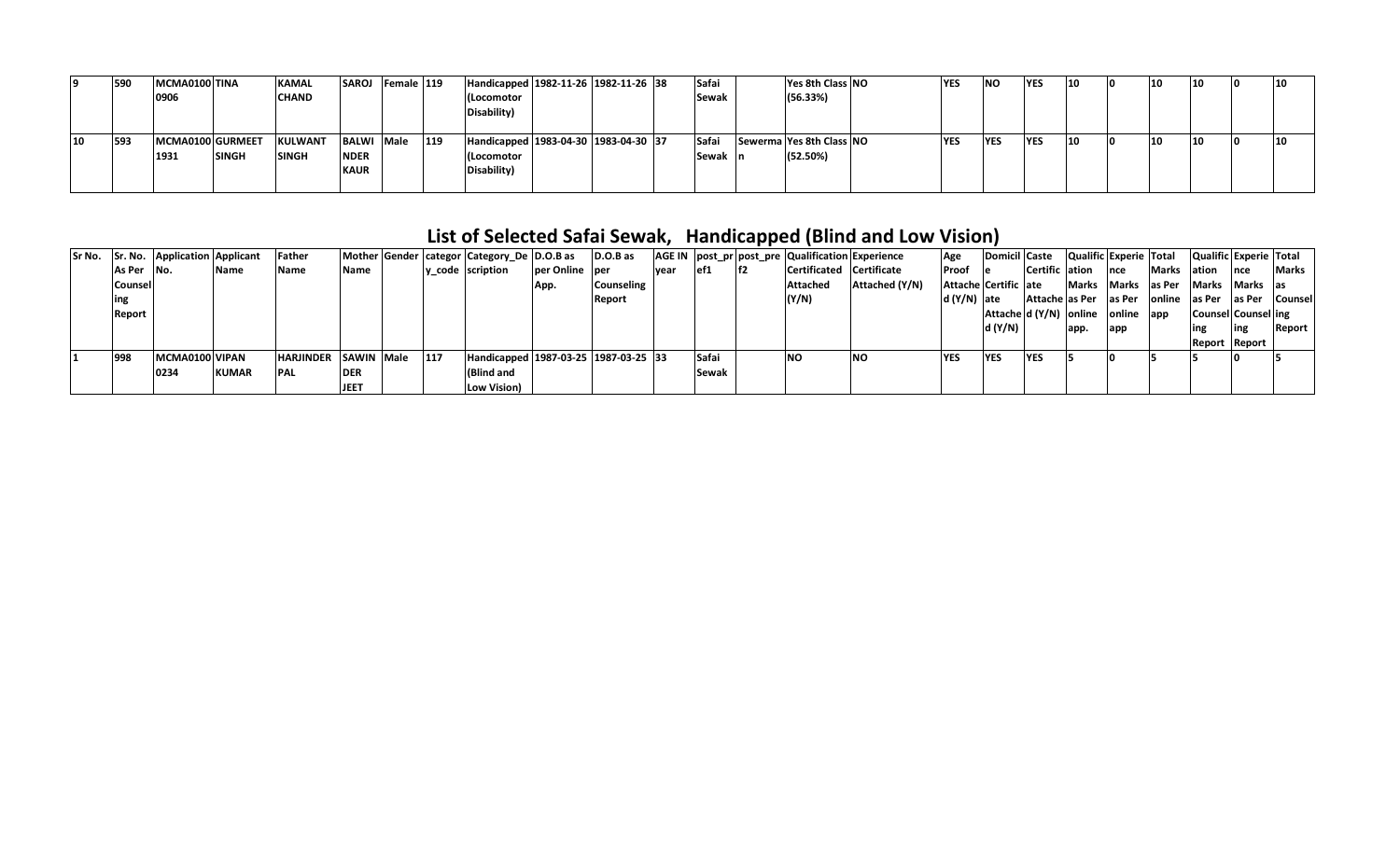|    | 1590 | MCMA0100 TINA    |              | <b>KAMAL</b>   | <b>SAROJ</b> | Female 119 |     | Handicapped 1982-11-26 1982-11-26 38       |  | Safai        | Yes 8th Class NO         | <b>YES</b> | <b>NO</b>  | <b>YES</b> |    | 10        | 10 | 10 |
|----|------|------------------|--------------|----------------|--------------|------------|-----|--------------------------------------------|--|--------------|--------------------------|------------|------------|------------|----|-----------|----|----|
|    |      | 0906             |              | <b>CHAND</b>   |              |            |     | (Locomotor                                 |  | <b>Sewak</b> | (56.33%)                 |            |            |            |    |           |    |    |
|    |      |                  |              |                |              |            |     | Disability)                                |  |              |                          |            |            |            |    |           |    |    |
|    |      |                  |              |                |              |            |     |                                            |  |              |                          |            |            |            |    |           |    |    |
| 10 | 593  | MCMA0100 GURMEET |              | <b>KULWANT</b> | <b>BALWI</b> | Male       | 119 | Handicapped   1983-04-30   1983-04-30   37 |  | Safai        | Sewerma Yes 8th Class NO | <b>YES</b> | <b>YES</b> | <b>YES</b> | 14 | <b>10</b> | 10 | 10 |
|    |      | 1931             | <b>SINGH</b> | <b>SINGH</b>   | <b>NDER</b>  |            |     | (Locomotor                                 |  | Sewak In     | (52.50%)                 |            |            |            |    |           |    |    |
|    |      |                  |              |                | <b>KAUR</b>  |            |     | Disability)                                |  |              |                          |            |            |            |    |           |    |    |
|    |      |                  |              |                |              |            |     |                                            |  |              |                          |            |            |            |    |           |    |    |

## **List of Selected Safai Sewak, Handicapped (Blind and Low Vision)**

|            | Sr No. Sr. No. Application Applicant |              | Father               |             |            | Mother Gender   categor   Category De   D.O.B as |                | D.O.B as          |             |       |    | AGE IN   post pr   post pre   Qualification   Experience |                | Age                  | Domicil  Caste |                | Qualific Experie Total            |                     |              | Qualific Experie Total |           |                              |
|------------|--------------------------------------|--------------|----------------------|-------------|------------|--------------------------------------------------|----------------|-------------------|-------------|-------|----|----------------------------------------------------------|----------------|----------------------|----------------|----------------|-----------------------------------|---------------------|--------------|------------------------|-----------|------------------------------|
| As Per No. |                                      | Name         | Name                 | Name        |            | y code scription                                 | per Online per |                   | <b>vear</b> | lef1  | H2 | Certificated Certificate                                 |                | Proof                | e e            | Certific ation |                                   | Ince                | <b>Marks</b> | lation                 | Ince      | <b>Marks</b>                 |
| Counsell   |                                      |              |                      |             |            |                                                  | App.           | <b>Counseling</b> |             |       |    | <b>Attached</b>                                          | Attached (Y/N) | Attache Certific ate |                |                | <b>Marks</b>                      | Marks las Per Marks |              |                        | Marks las |                              |
|            |                                      |              |                      |             |            |                                                  |                | Report            |             |       |    | (Y/N)                                                    |                | d (Y/N)  ate         |                |                | Attache as Per as Per             |                     |              |                        |           | online as Per as Per Counsel |
| Report     |                                      |              |                      |             |            |                                                  |                |                   |             |       |    |                                                          |                |                      |                |                | Attache d (Y/N) online online app |                     |              | Counsel Counsel ing    |           |                              |
|            |                                      |              |                      |             |            |                                                  |                |                   |             |       |    |                                                          |                |                      | d (Y/N)        |                | app.                              | lapp                |              | ing                    | ling      | Report                       |
|            |                                      |              |                      |             |            |                                                  |                |                   |             |       |    |                                                          |                |                      |                |                |                                   |                     |              | Report Report          |           |                              |
| 998        | MCMA0100 VIPAN                       |              | HARJINDER SAWIN Male |             | <b>117</b> | Handicapped 1987-03-25 1987-03-25 33             |                |                   |             | Safai |    | NO                                                       | <b>INO</b>     | <b>YES</b>           | <b>YES</b>     | <b>YES</b>     |                                   |                     |              |                        |           |                              |
|            | 0234                                 | <b>KUMAR</b> | <b>PAL</b>           | <b>DER</b>  |            | <b>(Blind and</b>                                |                |                   |             | Sewak |    |                                                          |                |                      |                |                |                                   |                     |              |                        |           |                              |
|            |                                      |              |                      | <b>JEET</b> |            | Low Vision)                                      |                |                   |             |       |    |                                                          |                |                      |                |                |                                   |                     |              |                        |           |                              |